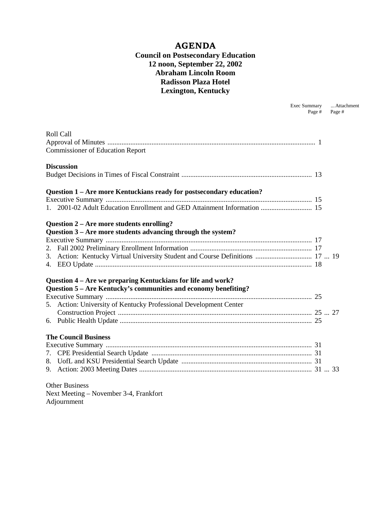#### **AGENDA Council on Postsecondary Education 12 noon, September 22, 2002 Abraham Lincoln Room Radisson Plaza Hotel Lexington, Kentucky**

Exec Summary ...Attachment

|                   |                                                                               | Page # | Page # |
|-------------------|-------------------------------------------------------------------------------|--------|--------|
|                   |                                                                               |        |        |
| Roll Call         |                                                                               |        |        |
|                   |                                                                               |        |        |
|                   | <b>Commissioner of Education Report</b>                                       |        |        |
| <b>Discussion</b> |                                                                               |        |        |
|                   |                                                                               |        |        |
|                   | Question 1 - Are more Kentuckians ready for postsecondary education?          |        |        |
|                   |                                                                               |        |        |
|                   | 1. 2001-02 Adult Education Enrollment and GED Attainment Information  15      |        |        |
|                   | Question 2 – Are more students enrolling?                                     |        |        |
|                   | Question 3 – Are more students advancing through the system?                  |        |        |
|                   |                                                                               |        |        |
|                   |                                                                               |        |        |
|                   | 3. Action: Kentucky Virtual University Student and Course Definitions  17  19 |        |        |
|                   |                                                                               |        |        |
|                   | Question 4 – Are we preparing Kentuckians for life and work?                  |        |        |
|                   | Question 5 – Are Kentucky's communities and economy benefiting?               |        |        |
|                   |                                                                               |        |        |
|                   | 5. Action: University of Kentucky Professional Development Center             |        |        |
|                   |                                                                               |        |        |
|                   |                                                                               |        |        |
|                   | <b>The Council Business</b>                                                   |        |        |
|                   |                                                                               |        |        |
|                   |                                                                               |        |        |
|                   |                                                                               |        |        |
|                   |                                                                               |        |        |
|                   | <b>Other Business</b>                                                         |        |        |
|                   | $N_{\text{ov}}$ Mooting $N_{\text{ov}}$ November 3 4 Erenizfort               |        |        |

Next Meeting – November 3-4, Frankfort Adjournment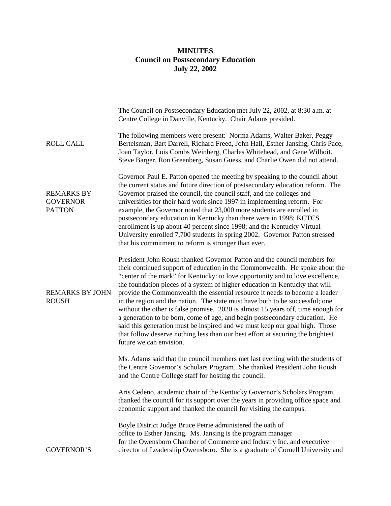#### **MINUTES Council on Postsecondary Education July 22, 2002**

|                                                       | The Council on Postsecondary Education met July 22, 2002, at 8:30 a.m. at<br>Centre College in Danville, Kentucky. Chair Adams presided.                                                                                                                                                                                                                                                                                                                                                                                                                                                                                                                                                                                                                                                                                                                 |
|-------------------------------------------------------|----------------------------------------------------------------------------------------------------------------------------------------------------------------------------------------------------------------------------------------------------------------------------------------------------------------------------------------------------------------------------------------------------------------------------------------------------------------------------------------------------------------------------------------------------------------------------------------------------------------------------------------------------------------------------------------------------------------------------------------------------------------------------------------------------------------------------------------------------------|
| <b>ROLL CALL</b>                                      | The following members were present: Norma Adams, Walter Baker, Peggy<br>Bertelsman, Bart Darrell, Richard Freed, John Hall, Esther Jansing, Chris Pace,<br>Joan Taylor, Lois Combs Weinberg, Charles Whitehead, and Gene Wilhoit.<br>Steve Barger, Ron Greenberg, Susan Guess, and Charlie Owen did not attend.                                                                                                                                                                                                                                                                                                                                                                                                                                                                                                                                          |
| <b>REMARKS BY</b><br><b>GOVERNOR</b><br><b>PATTON</b> | Governor Paul E. Patton opened the meeting by speaking to the council about<br>the current status and future direction of postsecondary education reform. The<br>Governor praised the council, the council staff, and the colleges and<br>universities for their hard work since 1997 in implementing reform. For<br>example, the Governor noted that 23,000 more students are enrolled in<br>postsecondary education in Kentucky than there were in 1998; KCTCS<br>enrollment is up about 40 percent since 1998; and the Kentucky Virtual<br>University enrolled 7,700 students in spring 2002. Governor Patton stressed<br>that his commitment to reform is stronger than ever.                                                                                                                                                                        |
| <b>REMARKS BY JOHN</b><br><b>ROUSH</b>                | President John Roush thanked Governor Patton and the council members for<br>their continued support of education in the Commonwealth. He spoke about the<br>"center of the mark" for Kentucky: to love opportunity and to love excellence,<br>the foundation pieces of a system of higher education in Kentucky that will<br>provide the Commonwealth the essential resource it needs to become a leader<br>in the region and the nation. The state must have both to be successful; one<br>without the other is false promise. 2020 is almost 15 years off, time enough for<br>a generation to be born, come of age, and begin postsecondary education. He<br>said this generation must be inspired and we must keep our goal high. Those<br>that follow deserve nothing less than our best effort at securing the brightest<br>future we can envision. |
|                                                       | Ms. Adams said that the council members met last evening with the students of<br>the Centre Governor's Scholars Program. She thanked President John Roush<br>and the Centre College staff for hosting the council.                                                                                                                                                                                                                                                                                                                                                                                                                                                                                                                                                                                                                                       |
|                                                       | Aris Cedeno, academic chair of the Kentucky Governor's Scholars Program,<br>thanked the council for its support over the years in providing office space and<br>economic support and thanked the council for visiting the campus.                                                                                                                                                                                                                                                                                                                                                                                                                                                                                                                                                                                                                        |
| <b>GOVERNOR'S</b>                                     | Boyle District Judge Bruce Petrie administered the oath of<br>office to Esther Jansing. Ms. Jansing is the program manager<br>for the Owensboro Chamber of Commerce and Industry Inc. and executive<br>director of Leadership Owensboro. She is a graduate of Cornell University and                                                                                                                                                                                                                                                                                                                                                                                                                                                                                                                                                                     |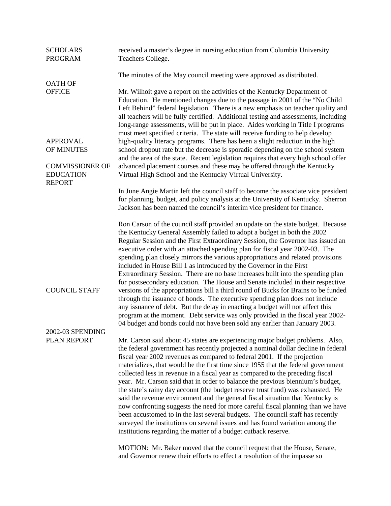| <b>SCHOLARS</b><br><b>PROGRAM</b>                           | received a master's degree in nursing education from Columbia University<br>Teachers College.                                                                                                                                                                                                                                                                                                                                                                                                                                                                                                                                                                                                                                                                                                                                                                                                                                                                                                                                                                                      |
|-------------------------------------------------------------|------------------------------------------------------------------------------------------------------------------------------------------------------------------------------------------------------------------------------------------------------------------------------------------------------------------------------------------------------------------------------------------------------------------------------------------------------------------------------------------------------------------------------------------------------------------------------------------------------------------------------------------------------------------------------------------------------------------------------------------------------------------------------------------------------------------------------------------------------------------------------------------------------------------------------------------------------------------------------------------------------------------------------------------------------------------------------------|
|                                                             | The minutes of the May council meeting were approved as distributed.                                                                                                                                                                                                                                                                                                                                                                                                                                                                                                                                                                                                                                                                                                                                                                                                                                                                                                                                                                                                               |
| <b>OATH OF</b><br><b>OFFICE</b>                             | Mr. Wilhoit gave a report on the activities of the Kentucky Department of<br>Education. He mentioned changes due to the passage in 2001 of the "No Child"<br>Left Behind" federal legislation. There is a new emphasis on teacher quality and<br>all teachers will be fully certified. Additional testing and assessments, including<br>long-range assessments, will be put in place. Aides working in Title I programs                                                                                                                                                                                                                                                                                                                                                                                                                                                                                                                                                                                                                                                            |
| <b>APPROVAL</b><br>OF MINUTES                               | must meet specified criteria. The state will receive funding to help develop<br>high-quality literacy programs. There has been a slight reduction in the high<br>school dropout rate but the decrease is sporadic depending on the school system<br>and the area of the state. Recent legislation requires that every high school offer                                                                                                                                                                                                                                                                                                                                                                                                                                                                                                                                                                                                                                                                                                                                            |
| <b>COMMISSIONER OF</b><br><b>EDUCATION</b><br><b>REPORT</b> | advanced placement courses and these may be offered through the Kentucky<br>Virtual High School and the Kentucky Virtual University.                                                                                                                                                                                                                                                                                                                                                                                                                                                                                                                                                                                                                                                                                                                                                                                                                                                                                                                                               |
|                                                             | In June Angie Martin left the council staff to become the associate vice president<br>for planning, budget, and policy analysis at the University of Kentucky. Sherron<br>Jackson has been named the council's interim vice president for finance.                                                                                                                                                                                                                                                                                                                                                                                                                                                                                                                                                                                                                                                                                                                                                                                                                                 |
| <b>COUNCIL STAFF</b>                                        | Ron Carson of the council staff provided an update on the state budget. Because<br>the Kentucky General Assembly failed to adopt a budget in both the 2002<br>Regular Session and the First Extraordinary Session, the Governor has issued an<br>executive order with an attached spending plan for fiscal year 2002-03. The<br>spending plan closely mirrors the various appropriations and related provisions<br>included in House Bill 1 as introduced by the Governor in the First<br>Extraordinary Session. There are no base increases built into the spending plan<br>for postsecondary education. The House and Senate included in their respective<br>versions of the appropriations bill a third round of Bucks for Brains to be funded<br>through the issuance of bonds. The executive spending plan does not include<br>any issuance of debt. But the delay in enacting a budget will not affect this<br>program at the moment. Debt service was only provided in the fiscal year 2002-<br>04 budget and bonds could not have been sold any earlier than January 2003. |
| 2002-03 SPENDING<br>PLAN REPORT                             | Mr. Carson said about 45 states are experiencing major budget problems. Also,<br>the federal government has recently projected a nominal dollar decline in federal<br>fiscal year 2002 revenues as compared to federal 2001. If the projection<br>materializes, that would be the first time since 1955 that the federal government<br>collected less in revenue in a fiscal year as compared to the preceding fiscal<br>year. Mr. Carson said that in order to balance the previous biennium's budget,<br>the state's rainy day account (the budget reserve trust fund) was exhausted. He<br>said the revenue environment and the general fiscal situation that Kentucky is<br>now confronting suggests the need for more careful fiscal planning than we have<br>been accustomed to in the last several budgets. The council staff has recently<br>surveyed the institutions on several issues and has found variation among the<br>institutions regarding the matter of a budget cutback reserve.<br>MOTION: Mr. Baker moved that the council request that the House, Senate,   |
|                                                             | and Governor renew their efforts to effect a resolution of the impasse so                                                                                                                                                                                                                                                                                                                                                                                                                                                                                                                                                                                                                                                                                                                                                                                                                                                                                                                                                                                                          |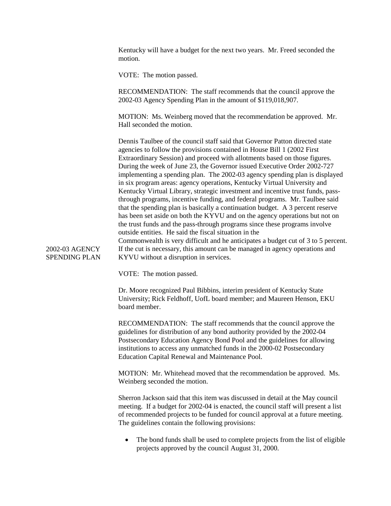Kentucky will have a budget for the next two years. Mr. Freed seconded the motion.

VOTE: The motion passed.

RECOMMENDATION: The staff recommends that the council approve the 2002-03 Agency Spending Plan in the amount of \$119,018,907.

MOTION: Ms. Weinberg moved that the recommendation be approved. Mr. Hall seconded the motion.

Dennis Taulbee of the council staff said that Governor Patton directed state agencies to follow the provisions contained in House Bill 1 (2002 First Extraordinary Session) and proceed with allotments based on those figures. During the week of June 23, the Governor issued Executive Order 2002-727 implementing a spending plan. The 2002-03 agency spending plan is displayed in six program areas: agency operations, Kentucky Virtual University and Kentucky Virtual Library, strategic investment and incentive trust funds, passthrough programs, incentive funding, and federal programs. Mr. Taulbee said that the spending plan is basically a continuation budget. A 3 percent reserve has been set aside on both the KYVU and on the agency operations but not on the trust funds and the pass-through programs since these programs involve outside entities. He said the fiscal situation in the Commonwealth is very difficult and he anticipates a budget cut of 3 to 5 percent. If the cut is necessary, this amount can be managed in agency operations and KYVU without a disruption in services.

2002-03 AGENCY SPENDING PLAN

VOTE: The motion passed.

Dr. Moore recognized Paul Bibbins, interim president of Kentucky State University; Rick Feldhoff, UofL board member; and Maureen Henson, EKU board member.

RECOMMENDATION: The staff recommends that the council approve the guidelines for distribution of any bond authority provided by the 2002-04 Postsecondary Education Agency Bond Pool and the guidelines for allowing institutions to access any unmatched funds in the 2000-02 Postsecondary Education Capital Renewal and Maintenance Pool.

MOTION: Mr. Whitehead moved that the recommendation be approved. Ms. Weinberg seconded the motion.

Sherron Jackson said that this item was discussed in detail at the May council meeting. If a budget for 2002-04 is enacted, the council staff will present a list of recommended projects to be funded for council approval at a future meeting. The guidelines contain the following provisions:

The bond funds shall be used to complete projects from the list of eligible projects approved by the council August 31, 2000.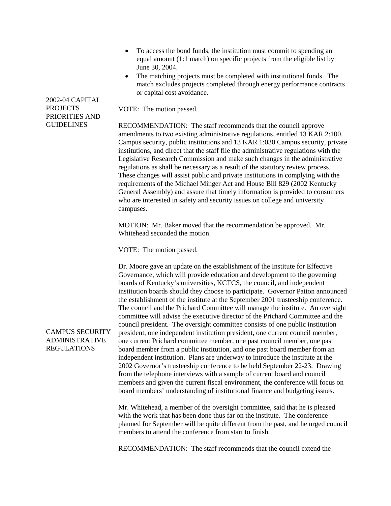- To access the bond funds, the institution must commit to spending an equal amount (1:1 match) on specific projects from the eligible list by June 30, 2004.
- The matching projects must be completed with institutional funds. The match excludes projects completed through energy performance contracts or capital cost avoidance.

VOTE: The motion passed.

RECOMMENDATION: The staff recommends that the council approve amendments to two existing administrative regulations, entitled 13 KAR 2:100. Campus security, public institutions and 13 KAR 1:030 Campus security, private institutions, and direct that the staff file the administrative regulations with the Legislative Research Commission and make such changes in the administrative regulations as shall be necessary as a result of the statutory review process. These changes will assist public and private institutions in complying with the requirements of the Michael Minger Act and House Bill 829 (2002 Kentucky General Assembly) and assure that timely information is provided to consumers who are interested in safety and security issues on college and university campuses.

MOTION: Mr. Baker moved that the recommendation be approved. Mr. Whitehead seconded the motion.

VOTE: The motion passed.

Dr. Moore gave an update on the establishment of the Institute for Effective Governance, which will provide education and development to the governing boards of Kentucky's universities, KCTCS, the council, and independent institution boards should they choose to participate. Governor Patton announced the establishment of the institute at the September 2001 trusteeship conference. The council and the Prichard Committee will manage the institute. An oversight committee will advise the executive director of the Prichard Committee and the council president. The oversight committee consists of one public institution president, one independent institution president, one current council member, one current Prichard committee member, one past council member, one past board member from a public institution, and one past board member from an independent institution. Plans are underway to introduce the institute at the 2002 Governor's trusteeship conference to be held September 22-23. Drawing from the telephone interviews with a sample of current board and council members and given the current fiscal environment, the conference will focus on board members' understanding of institutional finance and budgeting issues.

Mr. Whitehead, a member of the oversight committee, said that he is pleased with the work that has been done thus far on the institute. The conference planned for September will be quite different from the past, and he urged council members to attend the conference from start to finish.

RECOMMENDATION: The staff recommends that the council extend the

#### 2002-04 CAPITAL PROJECTS PRIORITIES AND GUIDELINES

CAMPUS SECURITY ADMINISTRATIVE REGULATIONS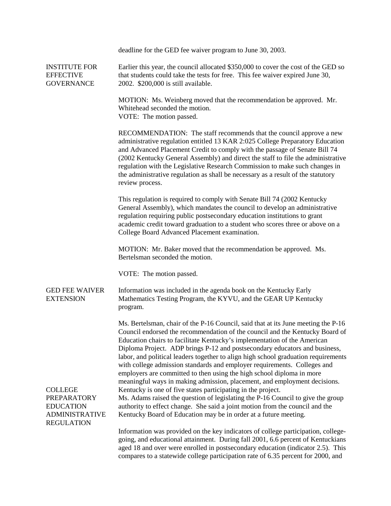|                                                                                                        | deadline for the GED fee waiver program to June 30, 2003.                                                                                                                                                                                                                                                                                                                                                                                                                                                                                                                                                                                           |
|--------------------------------------------------------------------------------------------------------|-----------------------------------------------------------------------------------------------------------------------------------------------------------------------------------------------------------------------------------------------------------------------------------------------------------------------------------------------------------------------------------------------------------------------------------------------------------------------------------------------------------------------------------------------------------------------------------------------------------------------------------------------------|
| <b>INSTITUTE FOR</b><br><b>EFFECTIVE</b><br><b>GOVERNANCE</b>                                          | Earlier this year, the council allocated \$350,000 to cover the cost of the GED so<br>that students could take the tests for free. This fee waiver expired June 30,<br>2002. \$200,000 is still available.                                                                                                                                                                                                                                                                                                                                                                                                                                          |
|                                                                                                        | MOTION: Ms. Weinberg moved that the recommendation be approved. Mr.<br>Whitehead seconded the motion.<br>VOTE: The motion passed.                                                                                                                                                                                                                                                                                                                                                                                                                                                                                                                   |
|                                                                                                        | RECOMMENDATION: The staff recommends that the council approve a new<br>administrative regulation entitled 13 KAR 2:025 College Preparatory Education<br>and Advanced Placement Credit to comply with the passage of Senate Bill 74<br>(2002 Kentucky General Assembly) and direct the staff to file the administrative<br>regulation with the Legislative Research Commission to make such changes in<br>the administrative regulation as shall be necessary as a result of the statutory<br>review process.                                                                                                                                        |
|                                                                                                        | This regulation is required to comply with Senate Bill 74 (2002 Kentucky<br>General Assembly), which mandates the council to develop an administrative<br>regulation requiring public postsecondary education institutions to grant<br>academic credit toward graduation to a student who scores three or above on a<br>College Board Advanced Placement examination.                                                                                                                                                                                                                                                                               |
|                                                                                                        | MOTION: Mr. Baker moved that the recommendation be approved. Ms.<br>Bertelsman seconded the motion.                                                                                                                                                                                                                                                                                                                                                                                                                                                                                                                                                 |
|                                                                                                        | VOTE: The motion passed.                                                                                                                                                                                                                                                                                                                                                                                                                                                                                                                                                                                                                            |
| <b>GED FEE WAIVER</b><br><b>EXTENSION</b>                                                              | Information was included in the agenda book on the Kentucky Early<br>Mathematics Testing Program, the KYVU, and the GEAR UP Kentucky<br>program.                                                                                                                                                                                                                                                                                                                                                                                                                                                                                                    |
|                                                                                                        | Ms. Bertelsman, chair of the P-16 Council, said that at its June meeting the P-16<br>Council endorsed the recommendation of the council and the Kentucky Board of<br>Education chairs to facilitate Kentucky's implementation of the American<br>Diploma Project. ADP brings P-12 and postsecondary educators and business,<br>labor, and political leaders together to align high school graduation requirements<br>with college admission standards and employer requirements. Colleges and<br>employers are committed to then using the high school diploma in more<br>meaningful ways in making admission, placement, and employment decisions. |
| <b>COLLEGE</b><br><b>PREPARATORY</b><br><b>EDUCATION</b><br><b>ADMINISTRATIVE</b><br><b>REGULATION</b> | Kentucky is one of five states participating in the project.<br>Ms. Adams raised the question of legislating the P-16 Council to give the group<br>authority to effect change. She said a joint motion from the council and the<br>Kentucky Board of Education may be in order at a future meeting.                                                                                                                                                                                                                                                                                                                                                 |
|                                                                                                        | Information was provided on the key indicators of college participation, college-<br>going, and educational attainment. During fall 2001, 6.6 percent of Kentuckians<br>aged 18 and over were enrolled in postsecondary education (indicator 2.5). This                                                                                                                                                                                                                                                                                                                                                                                             |

compares to a statewide college participation rate of 6.35 percent for 2000, and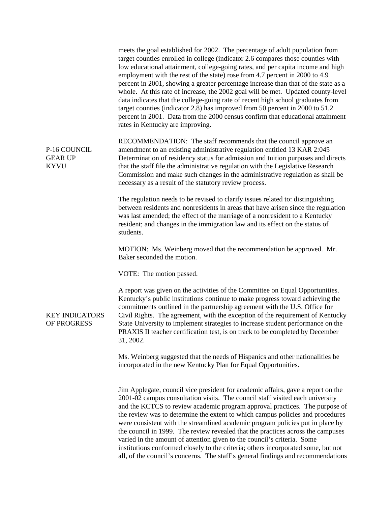|                                               | meets the goal established for 2002. The percentage of adult population from<br>target counties enrolled in college (indicator 2.6 compares those counties with<br>low educational attainment, college-going rates, and per capita income and high<br>employment with the rest of the state) rose from 4.7 percent in 2000 to 4.9<br>percent in 2001, showing a greater percentage increase than that of the state as a<br>whole. At this rate of increase, the 2002 goal will be met. Updated county-level<br>data indicates that the college-going rate of recent high school graduates from<br>target counties (indicator 2.8) has improved from 50 percent in 2000 to 51.2<br>percent in 2001. Data from the 2000 census confirm that educational attainment<br>rates in Kentucky are improving. |
|-----------------------------------------------|------------------------------------------------------------------------------------------------------------------------------------------------------------------------------------------------------------------------------------------------------------------------------------------------------------------------------------------------------------------------------------------------------------------------------------------------------------------------------------------------------------------------------------------------------------------------------------------------------------------------------------------------------------------------------------------------------------------------------------------------------------------------------------------------------|
| P-16 COUNCIL<br><b>GEAR UP</b><br><b>KYVU</b> | RECOMMENDATION: The staff recommends that the council approve an<br>amendment to an existing administrative regulation entitled 13 KAR 2:045<br>Determination of residency status for admission and tuition purposes and directs<br>that the staff file the administrative regulation with the Legislative Research<br>Commission and make such changes in the administrative regulation as shall be<br>necessary as a result of the statutory review process.                                                                                                                                                                                                                                                                                                                                       |
|                                               | The regulation needs to be revised to clarify issues related to: distinguishing<br>between residents and nonresidents in areas that have arisen since the regulation<br>was last amended; the effect of the marriage of a nonresident to a Kentucky<br>resident; and changes in the immigration law and its effect on the status of<br>students.                                                                                                                                                                                                                                                                                                                                                                                                                                                     |
|                                               | MOTION: Ms. Weinberg moved that the recommendation be approved. Mr.<br>Baker seconded the motion.                                                                                                                                                                                                                                                                                                                                                                                                                                                                                                                                                                                                                                                                                                    |
|                                               | VOTE: The motion passed.                                                                                                                                                                                                                                                                                                                                                                                                                                                                                                                                                                                                                                                                                                                                                                             |
| <b>KEY INDICATORS</b><br>OF PROGRESS          | A report was given on the activities of the Committee on Equal Opportunities.<br>Kentucky's public institutions continue to make progress toward achieving the<br>commitments outlined in the partnership agreement with the U.S. Office for<br>Civil Rights. The agreement, with the exception of the requirement of Kentucky<br>State University to implement strategies to increase student performance on the<br>PRAXIS II teacher certification test, is on track to be completed by December<br>31, 2002.                                                                                                                                                                                                                                                                                      |
|                                               | Ms. Weinberg suggested that the needs of Hispanics and other nationalities be<br>incorporated in the new Kentucky Plan for Equal Opportunities.                                                                                                                                                                                                                                                                                                                                                                                                                                                                                                                                                                                                                                                      |
|                                               | Jim Applegate, council vice president for academic affairs, gave a report on the<br>2001-02 campus consultation visits. The council staff visited each university<br>and the KCTCS to review academic program approval practices. The purpose of<br>the review was to determine the extent to which campus policies and procedures<br>were consistent with the streamlined academic program policies put in place by<br>the council in 1999. The review revealed that the practices across the campuses<br>varied in the amount of attention given to the council's criteria. Some<br>institutions conformed closely to the criteria; others incorporated some, but not<br>all, of the council's concerns. The staff's general findings and recommendations                                          |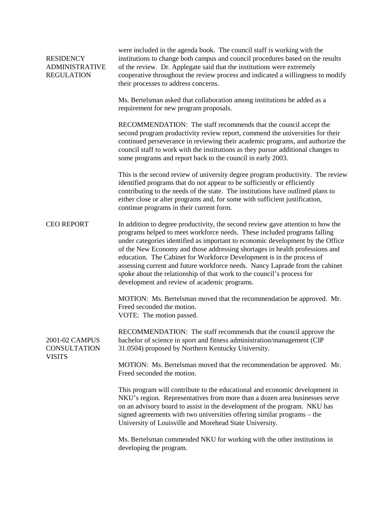| <b>RESIDENCY</b><br><b>ADMINISTRATIVE</b><br><b>REGULATION</b> | were included in the agenda book. The council staff is working with the<br>institutions to change both campus and council procedures based on the results<br>of the review. Dr. Applegate said that the institutions were extremely<br>cooperative throughout the review process and indicated a willingness to modify<br>their processes to address concerns.                                                                                                                                                                                                                                                  |  |  |  |  |  |  |  |  |
|----------------------------------------------------------------|-----------------------------------------------------------------------------------------------------------------------------------------------------------------------------------------------------------------------------------------------------------------------------------------------------------------------------------------------------------------------------------------------------------------------------------------------------------------------------------------------------------------------------------------------------------------------------------------------------------------|--|--|--|--|--|--|--|--|
|                                                                | Ms. Bertelsman asked that collaboration among institutions be added as a<br>requirement for new program proposals.                                                                                                                                                                                                                                                                                                                                                                                                                                                                                              |  |  |  |  |  |  |  |  |
|                                                                | RECOMMENDATION: The staff recommends that the council accept the<br>second program productivity review report, commend the universities for their<br>continued perseverance in reviewing their academic programs, and authorize the<br>council staff to work with the institutions as they pursue additional changes to<br>some programs and report back to the council in early 2003.                                                                                                                                                                                                                          |  |  |  |  |  |  |  |  |
|                                                                | This is the second review of university degree program productivity. The review<br>identified programs that do not appear to be sufficiently or efficiently<br>contributing to the needs of the state. The institutions have outlined plans to<br>either close or alter programs and, for some with sufficient justification,<br>continue programs in their current form.                                                                                                                                                                                                                                       |  |  |  |  |  |  |  |  |
| <b>CEO REPORT</b>                                              | In addition to degree productivity, the second review gave attention to how the<br>programs helped to meet workforce needs. These included programs falling<br>under categories identified as important to economic development by the Office<br>of the New Economy and those addressing shortages in health professions and<br>education. The Cabinet for Workforce Development is in the process of<br>assessing current and future workforce needs. Nancy Laprade from the cabinet<br>spoke about the relationship of that work to the council's process for<br>development and review of academic programs. |  |  |  |  |  |  |  |  |
|                                                                | MOTION: Ms. Bertelsman moved that the recommendation be approved. Mr.<br>Freed seconded the motion.<br>VOTE: The motion passed.                                                                                                                                                                                                                                                                                                                                                                                                                                                                                 |  |  |  |  |  |  |  |  |
| 2001-02 CAMPUS<br><b>CONSULTATION</b><br><b>VISITS</b>         | RECOMMENDATION: The staff recommends that the council approve the<br>bachelor of science in sport and fitness administration/management (CIP<br>31.0504) proposed by Northern Kentucky University.                                                                                                                                                                                                                                                                                                                                                                                                              |  |  |  |  |  |  |  |  |
|                                                                | MOTION: Ms. Bertelsman moved that the recommendation be approved. Mr.<br>Freed seconded the motion.                                                                                                                                                                                                                                                                                                                                                                                                                                                                                                             |  |  |  |  |  |  |  |  |
|                                                                | This program will contribute to the educational and economic development in<br>NKU's region. Representatives from more than a dozen area businesses serve<br>on an advisory board to assist in the development of the program. NKU has<br>signed agreements with two universities offering similar programs – the<br>University of Louisville and Morehead State University.                                                                                                                                                                                                                                    |  |  |  |  |  |  |  |  |
|                                                                | Ms. Bertelsman commended NKU for working with the other institutions in<br>developing the program.                                                                                                                                                                                                                                                                                                                                                                                                                                                                                                              |  |  |  |  |  |  |  |  |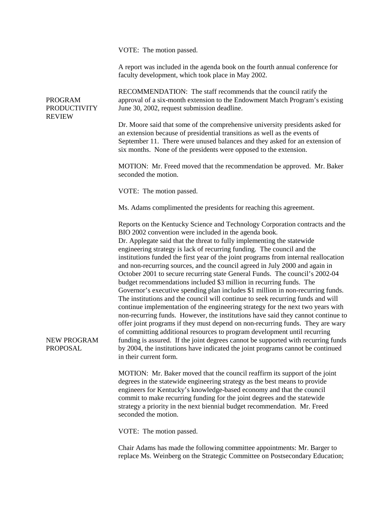|                         | VOTE: The motion passed.                                                                                                                                                                                                                                                                                                                                                                                                                                                                                                                                                                                                                                                                                                                                                                                                                                                                                                                                                                                                                                                                                                                                                                                                                                                                                                            |  |  |  |  |  |  |  |
|-------------------------|-------------------------------------------------------------------------------------------------------------------------------------------------------------------------------------------------------------------------------------------------------------------------------------------------------------------------------------------------------------------------------------------------------------------------------------------------------------------------------------------------------------------------------------------------------------------------------------------------------------------------------------------------------------------------------------------------------------------------------------------------------------------------------------------------------------------------------------------------------------------------------------------------------------------------------------------------------------------------------------------------------------------------------------------------------------------------------------------------------------------------------------------------------------------------------------------------------------------------------------------------------------------------------------------------------------------------------------|--|--|--|--|--|--|--|
|                         | A report was included in the agenda book on the fourth annual conference for<br>faculty development, which took place in May 2002.                                                                                                                                                                                                                                                                                                                                                                                                                                                                                                                                                                                                                                                                                                                                                                                                                                                                                                                                                                                                                                                                                                                                                                                                  |  |  |  |  |  |  |  |
| PROGRAM<br>PRODUCTIVITY | RECOMMENDATION: The staff recommends that the council ratify the<br>approval of a six-month extension to the Endowment Match Program's existing<br>June 30, 2002, request submission deadline.                                                                                                                                                                                                                                                                                                                                                                                                                                                                                                                                                                                                                                                                                                                                                                                                                                                                                                                                                                                                                                                                                                                                      |  |  |  |  |  |  |  |
| <b>REVIEW</b>           | Dr. Moore said that some of the comprehensive university presidents asked for<br>an extension because of presidential transitions as well as the events of<br>September 11. There were unused balances and they asked for an extension of<br>six months. None of the presidents were opposed to the extension.                                                                                                                                                                                                                                                                                                                                                                                                                                                                                                                                                                                                                                                                                                                                                                                                                                                                                                                                                                                                                      |  |  |  |  |  |  |  |
|                         | MOTION: Mr. Freed moved that the recommendation be approved. Mr. Baker<br>seconded the motion.                                                                                                                                                                                                                                                                                                                                                                                                                                                                                                                                                                                                                                                                                                                                                                                                                                                                                                                                                                                                                                                                                                                                                                                                                                      |  |  |  |  |  |  |  |
|                         | VOTE: The motion passed.                                                                                                                                                                                                                                                                                                                                                                                                                                                                                                                                                                                                                                                                                                                                                                                                                                                                                                                                                                                                                                                                                                                                                                                                                                                                                                            |  |  |  |  |  |  |  |
|                         | Ms. Adams complimented the presidents for reaching this agreement.                                                                                                                                                                                                                                                                                                                                                                                                                                                                                                                                                                                                                                                                                                                                                                                                                                                                                                                                                                                                                                                                                                                                                                                                                                                                  |  |  |  |  |  |  |  |
| NEW PROGRAM<br>PROPOSAL | Reports on the Kentucky Science and Technology Corporation contracts and the<br>BIO 2002 convention were included in the agenda book.<br>Dr. Applegate said that the threat to fully implementing the statewide<br>engineering strategy is lack of recurring funding. The council and the<br>institutions funded the first year of the joint programs from internal reallocation<br>and non-recurring sources, and the council agreed in July 2000 and again in<br>October 2001 to secure recurring state General Funds. The council's 2002-04<br>budget recommendations included \$3 million in recurring funds. The<br>Governor's executive spending plan includes \$1 million in non-recurring funds.<br>The institutions and the council will continue to seek recurring funds and will<br>continue implementation of the engineering strategy for the next two years with<br>non-recurring funds. However, the institutions have said they cannot continue to<br>offer joint programs if they must depend on non-recurring funds. They are wary<br>of committing additional resources to program development until recurring<br>funding is assured. If the joint degrees cannot be supported with recurring funds<br>by 2004, the institutions have indicated the joint programs cannot be continued<br>in their current form. |  |  |  |  |  |  |  |
|                         | MOTION: Mr. Baker moved that the council reaffirm its support of the joint<br>degrees in the statewide engineering strategy as the best means to provide<br>engineers for Kentucky's knowledge-based economy and that the council<br>commit to make recurring funding for the joint degrees and the statewide<br>strategy a priority in the next biennial budget recommendation. Mr. Freed<br>seconded the motion.                                                                                                                                                                                                                                                                                                                                                                                                                                                                                                                                                                                                                                                                                                                                                                                                                                                                                                                  |  |  |  |  |  |  |  |
|                         | VOTE: The motion passed.                                                                                                                                                                                                                                                                                                                                                                                                                                                                                                                                                                                                                                                                                                                                                                                                                                                                                                                                                                                                                                                                                                                                                                                                                                                                                                            |  |  |  |  |  |  |  |

Chair Adams has made the following committee appointments: Mr. Barger to replace Ms. Weinberg on the Strategic Committee on Postsecondary Education;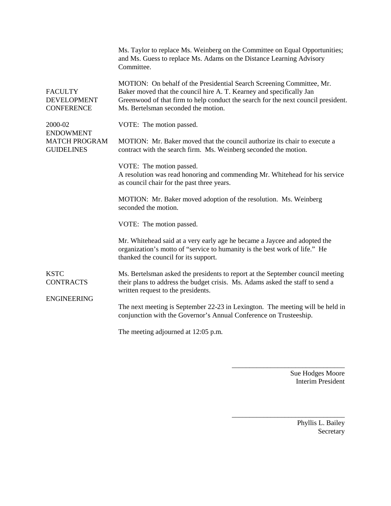|                                                           | Ms. Taylor to replace Ms. Weinberg on the Committee on Equal Opportunities;<br>and Ms. Guess to replace Ms. Adams on the Distance Learning Advisory<br>Committee.                                                                                                         |  |  |  |  |  |  |  |
|-----------------------------------------------------------|---------------------------------------------------------------------------------------------------------------------------------------------------------------------------------------------------------------------------------------------------------------------------|--|--|--|--|--|--|--|
| <b>FACULTY</b><br><b>DEVELOPMENT</b><br><b>CONFERENCE</b> | MOTION: On behalf of the Presidential Search Screening Committee, Mr.<br>Baker moved that the council hire A. T. Kearney and specifically Jan<br>Greenwood of that firm to help conduct the search for the next council president.<br>Ms. Bertelsman seconded the motion. |  |  |  |  |  |  |  |
| 2000-02<br><b>ENDOWMENT</b>                               | VOTE: The motion passed.                                                                                                                                                                                                                                                  |  |  |  |  |  |  |  |
| <b>MATCH PROGRAM</b><br><b>GUIDELINES</b>                 | MOTION: Mr. Baker moved that the council authorize its chair to execute a<br>contract with the search firm. Ms. Weinberg seconded the motion.                                                                                                                             |  |  |  |  |  |  |  |
|                                                           | VOTE: The motion passed.<br>A resolution was read honoring and commending Mr. Whitehead for his service<br>as council chair for the past three years.                                                                                                                     |  |  |  |  |  |  |  |
|                                                           | MOTION: Mr. Baker moved adoption of the resolution. Ms. Weinberg<br>seconded the motion.                                                                                                                                                                                  |  |  |  |  |  |  |  |
|                                                           | VOTE: The motion passed.                                                                                                                                                                                                                                                  |  |  |  |  |  |  |  |
|                                                           | Mr. Whitehead said at a very early age he became a Jaycee and adopted the<br>organization's motto of "service to humanity is the best work of life." He<br>thanked the council for its support.                                                                           |  |  |  |  |  |  |  |
| <b>KSTC</b><br><b>CONTRACTS</b><br><b>ENGINEERING</b>     | Ms. Bertelsman asked the presidents to report at the September council meeting<br>their plans to address the budget crisis. Ms. Adams asked the staff to send a<br>written request to the presidents.                                                                     |  |  |  |  |  |  |  |
|                                                           | The next meeting is September 22-23 in Lexington. The meeting will be held in<br>conjunction with the Governor's Annual Conference on Trusteeship.                                                                                                                        |  |  |  |  |  |  |  |
|                                                           | The meeting adjourned at 12:05 p.m.                                                                                                                                                                                                                                       |  |  |  |  |  |  |  |

Sue Hodges Moore Interim President

\_\_\_\_\_\_\_\_\_\_\_\_\_\_\_\_\_\_\_\_\_\_\_\_\_\_\_\_\_\_\_\_

\_\_\_\_\_\_\_\_\_\_\_\_\_\_\_\_\_\_\_\_\_\_\_\_\_\_\_\_\_\_\_\_

Phyllis L. Bailey **Secretary**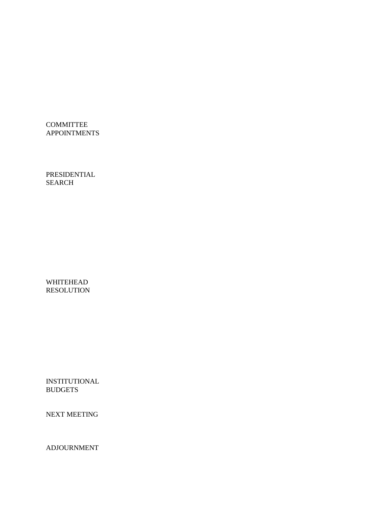**COMMITTEE** APPOINTMENTS

PRESIDENTIAL SEARCH

WHITEHEAD RESOLUTION

INSTITUTIONAL **BUDGETS** 

NEXT MEETING

ADJOURNMENT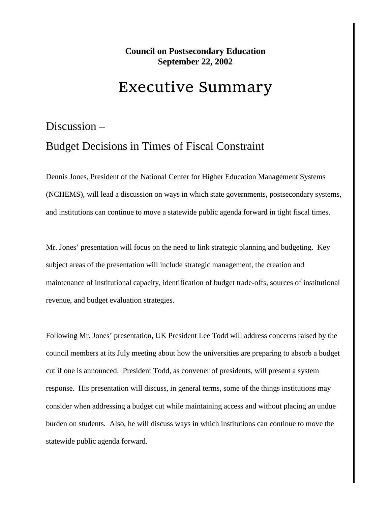#### **Council on Postsecondary Education September 22, 2002**

#### Executive Summary

### Discussion – Budget Decisions in Times of Fiscal Constraint

Dennis Jones, President of the National Center for Higher Education Management Systems (NCHEMS), will lead a discussion on ways in which state governments, postsecondary systems, and institutions can continue to move a statewide public agenda forward in tight fiscal times.

Mr. Jones' presentation will focus on the need to link strategic planning and budgeting. Key subject areas of the presentation will include strategic management, the creation and maintenance of institutional capacity, identification of budget trade-offs, sources of institutional revenue, and budget evaluation strategies.

Following Mr. Jones' presentation, UK President Lee Todd will address concerns raised by the council members at its July meeting about how the universities are preparing to absorb a budget cut if one is announced. President Todd, as convener of presidents, will present a system response. His presentation will discuss, in general terms, some of the things institutions may consider when addressing a budget cut while maintaining access and without placing an undue burden on students. Also, he will discuss ways in which institutions can continue to move the statewide public agenda forward.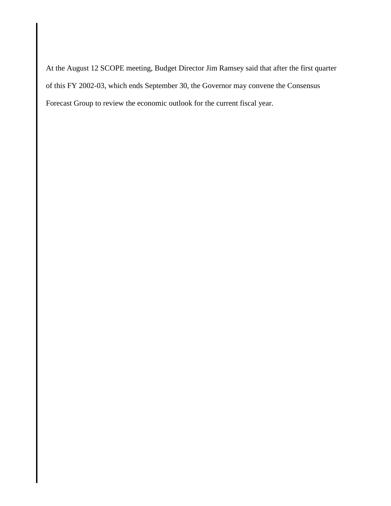At the August 12 SCOPE meeting, Budget Director Jim Ramsey said that after the first quarter of this FY 2002-03, which ends September 30, the Governor may convene the Consensus Forecast Group to review the economic outlook for the current fiscal year.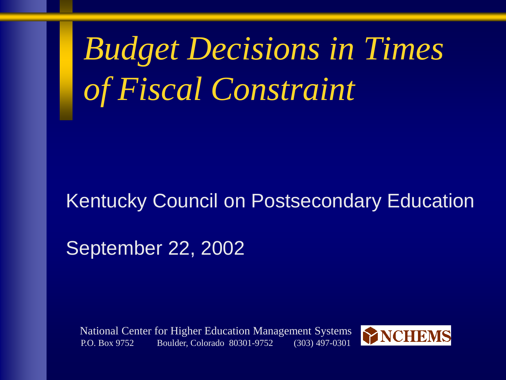*Budget Decisions in Times of Fiscal Constraint*

### Kentucky Council on Postsecondary Education

September 22, 2002

National Center for Higher Education Management Systems P.O. Box 9752 Boulder, Colorado 80301-9752 (303) 497-0301

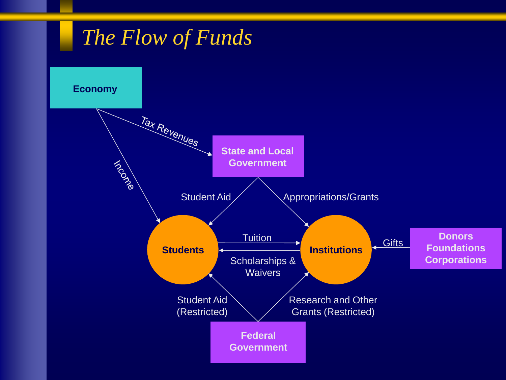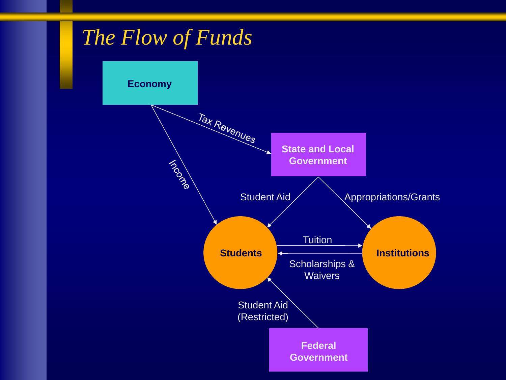![](_page_16_Figure_0.jpeg)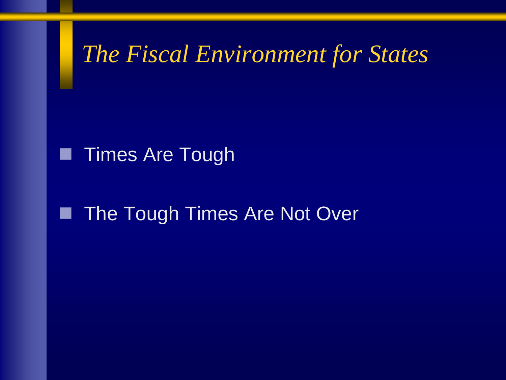*The Fiscal Environment for States*

### **Times Are Tough**

## **The Tough Times Are Not Over**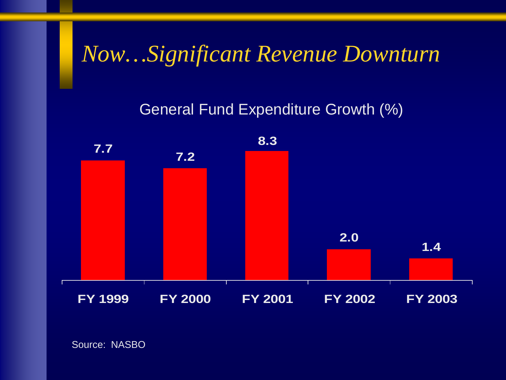## *Now…Significant Revenue Downturn*

### General Fund Expenditure Growth (%)

![](_page_18_Figure_2.jpeg)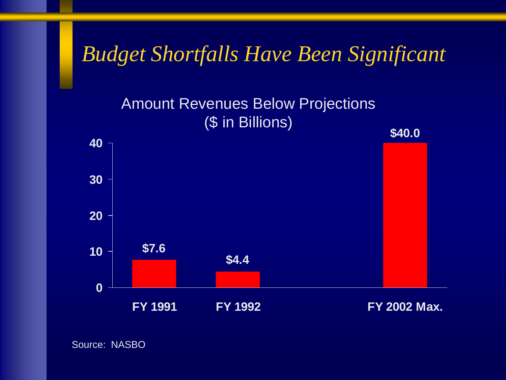## *Budget Shortfalls Have Been Significant*

### Amount Revenues Below Projections (\$ in Billions)

![](_page_19_Figure_2.jpeg)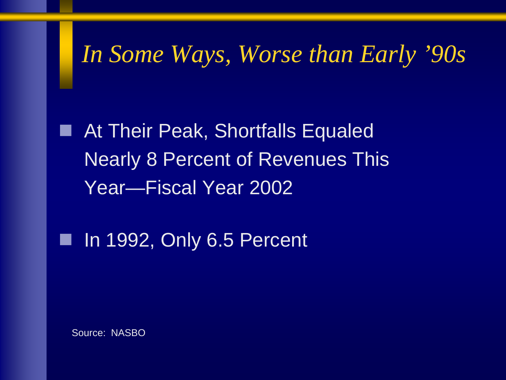## *In Some Ways, Worse than Early '90s*

■ At Their Peak, Shortfalls Equaled Nearly 8 Percent of Revenues This Year—Fiscal Year 2002

In 1992, Only 6.5 Percent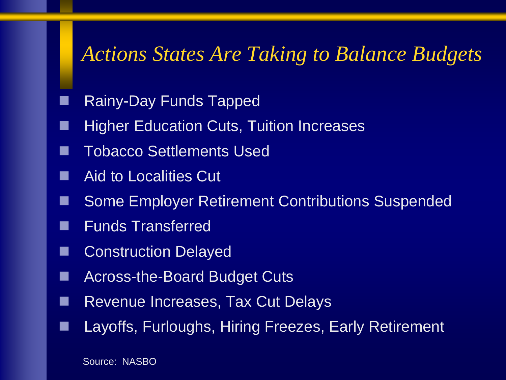## *Actions States Are Taking to Balance Budgets*

- Rainy-Day Funds Tapped
- Higher Education Cuts, Tuition Increases
- Tobacco Settlements Used
- Aid to Localities Cut
- Some Employer Retirement Contributions Suspended
- Funds Transferred
- Construction Delayed
- Across-the-Board Budget Cuts
- Revenue Increases, Tax Cut Delays
- Layoffs, Furloughs, Hiring Freezes, Early Retirement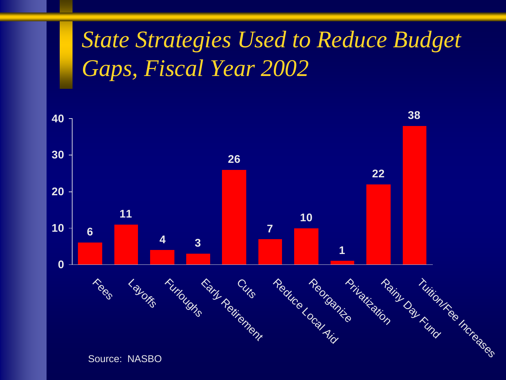# *State Strategies Used to Reduce Budget Gaps, Fiscal Year 2002*

![](_page_22_Figure_1.jpeg)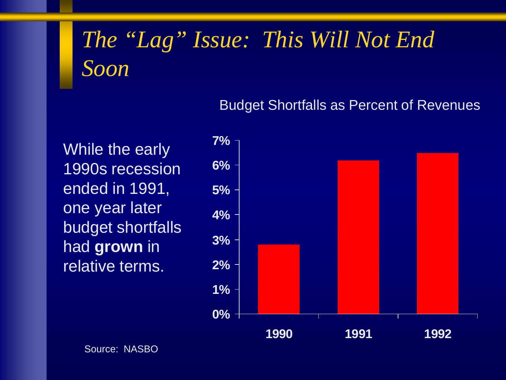# *The "Lag" Issue: This Will Not End Soon*

#### Budget Shortfalls as Percent of Revenues

While the early 1990s recession ended in 1991, one year later budget shortfalls had **grown** in relative terms.

![](_page_23_Figure_3.jpeg)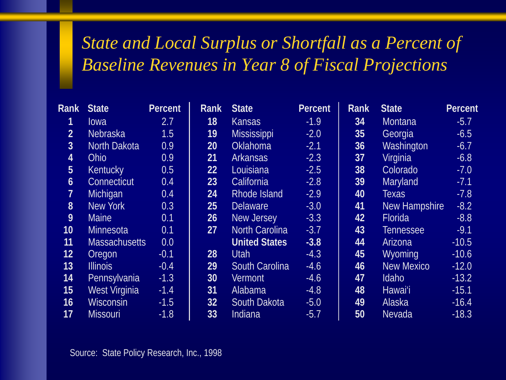### *State and Local Surplus or Shortfall as a Percent of Baseline Revenues in Year 8 of Fiscal Projections*

| <b>Rank</b>      | <b>State</b>         | <b>Percent</b> | <b>Rank</b> | <b>State</b>          | <b>Percent</b> | <b>Rank</b> | <b>State</b>      | <b>Percent</b> |
|------------------|----------------------|----------------|-------------|-----------------------|----------------|-------------|-------------------|----------------|
|                  | lowa                 | 2.7            | 18          | <b>Kansas</b>         | $-1.9$         | 34          | <b>Montana</b>    | $-5.7$         |
| 2 <sup>1</sup>   | <b>Nebraska</b>      | 1.5            | 19          | <b>Mississippi</b>    | $-2.0$         | 35          | Georgia           | $-6.5$         |
| 3 <sup>1</sup>   | North Dakota         | 0.9            | 20          | <b>Oklahoma</b>       | $-2.1$         | 36          | Washington        | $-6.7$         |
| $\overline{4}$   | <b>Ohio</b>          | 0.9            | 21          | <b>Arkansas</b>       | $-2.3$         | 37          | Virginia          | $-6.8$         |
| 5 <sup>1</sup>   | <b>Kentucky</b>      | 0.5            | 22          | Louisiana             | $-2.5$         | 38          | Colorado          | $-7.0$         |
| $\boldsymbol{6}$ | Connecticut          | 0.4            | 23          | California            | $-2.8$         | 39          | <b>Maryland</b>   | $-7.1$         |
| $7^{\circ}$      | Michigan             | 0.4            | 24          | Rhode Island          | $-2.9$         | 40          | <b>Texas</b>      | $-7.8$         |
| 8 <sup>°</sup>   | New York             | 0.3            | 25          | <b>Delaware</b>       | $-3.0$         | 41          | New Hampshire     | $-8.2$         |
| 9                | <b>Maine</b>         | 0.1            | 26          | New Jersey            | $-3.3$         | 42          | Florida           | $-8.8$         |
| 10 <sup>°</sup>  | <b>Minnesota</b>     | 0.1            | 27          | <b>North Carolina</b> | $-3.7$         | 43          | Tennessee         | $-9.1$         |
| 11               | <b>Massachusetts</b> | 0.0            |             | <b>United States</b>  | $-3.8$         | 44          | Arizona           | $-10.5$        |
| 12 <sub>2</sub>  | Oregon               | $-0.1$         | 28          | <b>Utah</b>           | $-4.3$         | 45          | <b>Wyoming</b>    | $-10.6$        |
| 13               | Illinois             | $-0.4$         | 29          | <b>South Carolina</b> | $-4.6$         | 46          | <b>New Mexico</b> | $-12.0$        |
| 14               | Pennsylvania         | $-1.3$         | 30          | <b>Vermont</b>        | $-4.6$         | 47          | Idaho             | $-13.2$        |
| 15               | West Virginia        | $-1.4$         | 31          | Alabama               | $-4.8$         | 48          | Hawai'i           | $-15.1$        |
| 16 <sub>1</sub>  | <b>Wisconsin</b>     | $-1.5$         | 32          | South Dakota          | $-5.0$         | 49          | Alaska            | $-16.4$        |
| 17               | <b>Missouri</b>      | $-1.8$         | 33          | Indiana               | $-5.7$         | 50          | <b>Nevada</b>     | $-18.3$        |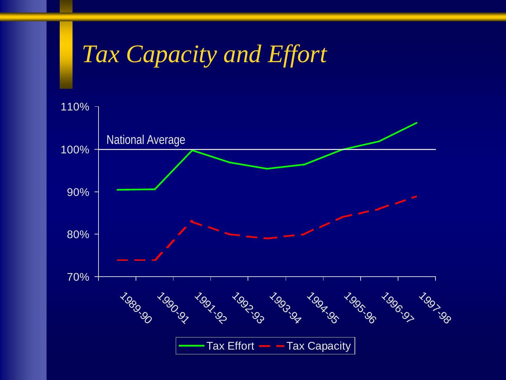# *Tax Capacity and Effort*

![](_page_25_Figure_1.jpeg)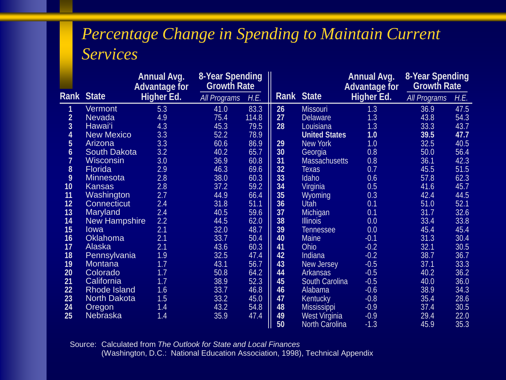### *Percentage Change in Spending to Maintain Current Services*

|                  |                      | <b>Annual Avg.</b><br><b>Advantage for</b> | 8-Year Spending<br><b>Growth Rate</b> |       |      |                      |            |                     | <b>Annual Avg.</b><br><b>Advantage for</b> | 8-Year Spending<br><b>Growth Rate</b> |  |  |  |
|------------------|----------------------|--------------------------------------------|---------------------------------------|-------|------|----------------------|------------|---------------------|--------------------------------------------|---------------------------------------|--|--|--|
| Rank             | <b>State</b>         | Higher Ed.                                 | <b>All Programs</b>                   | H.E.  | Rank | <b>State</b>         | Higher Ed. | <b>All Programs</b> | H.E.                                       |                                       |  |  |  |
| 1                | <b>Vermont</b>       | 5.3                                        | 41.0                                  | 83.3  | 26   | <b>Missouri</b>      | 1.3        | 36.9                | 47.5                                       |                                       |  |  |  |
| $\overline{2}$   | <b>Nevada</b>        | 4.9                                        | 75.4                                  | 114.8 | 27   | <b>Delaware</b>      | 1.3        | 43.8                | 54.3                                       |                                       |  |  |  |
| $\overline{3}$   | Hawai'i              | 4.3                                        | 45.3                                  | 79.5  | 28   | Louisiana            | 1.3        | 33.3                | 43.7                                       |                                       |  |  |  |
| $\overline{4}$   | <b>New Mexico</b>    | 3.3                                        | 52.2                                  | 78.9  |      | <b>United States</b> | 1.0        | 39.5                | 47.7                                       |                                       |  |  |  |
| 5                | <b>Arizona</b>       | 3.3                                        | 60.6                                  | 86.9  | 29   | New York             | 1.0        | 32.5                | 40.5                                       |                                       |  |  |  |
| $\boldsymbol{6}$ | <b>South Dakota</b>  | 3.2                                        | 40.2                                  | 65.7  | 30   | Georgia              | 0.8        | 50.0                | 56.4                                       |                                       |  |  |  |
| $\overline{1}$   | <b>Wisconsin</b>     | 3.0                                        | 36.9                                  | 60.8  | 31   | <b>Massachusetts</b> | 0.8        | 36.1                | 42.3                                       |                                       |  |  |  |
| 8                | <b>Florida</b>       | 2.9                                        | 46.3                                  | 69.6  | 32   | Texas                | 0.7        | 45.5                | 51.5                                       |                                       |  |  |  |
| 9                | <b>Minnesota</b>     | 2.8                                        | 38.0                                  | 60.3  | 33   | Idaho                | 0.6        | 57.8                | 62.3                                       |                                       |  |  |  |
| 10               | <b>Kansas</b>        | 2.8                                        | 37.2                                  | 59.2  | 34   | Virginia             | 0.5        | 41.6                | 45.7                                       |                                       |  |  |  |
| 11               | Washington           | 2.7                                        | 44.9                                  | 66.4  | 35   | <b>Wyoming</b>       | 0.3        | 42.4                | 44.5                                       |                                       |  |  |  |
| 12               | <b>Connecticut</b>   | 2.4                                        | 31.8                                  | 51.1  | 36   | <b>Utah</b>          | 0.1        | 51.0                | 52.1                                       |                                       |  |  |  |
| 13               | Maryland             | 2.4                                        | 40.5                                  | 59.6  | 37   | Michigan             | 0.1        | 31.7                | 32.6                                       |                                       |  |  |  |
| 14               | <b>New Hampshire</b> | 2.2                                        | 44.5                                  | 62.0  | 38   | <b>Illinois</b>      | 0.0        | 33.4                | 33.8                                       |                                       |  |  |  |
| 15               | lowa                 | 2.1                                        | 32.0                                  | 48.7  | 39   | <b>Tennessee</b>     | 0.0        | 45.4                | 45.4                                       |                                       |  |  |  |
| 16               | <b>Oklahoma</b>      | 2.1                                        | 33.7                                  | 50.4  | 40   | Maine                | $-0.1$     | 31.3                | 30.4                                       |                                       |  |  |  |
| 17               | Alaska               | 2.1                                        | 43.6                                  | 60.3  | 41   | Ohio                 | $-0.2$     | 32.1                | 30.5                                       |                                       |  |  |  |
| 18               | Pennsylvania         | 1.9                                        | 32.5                                  | 47.4  | 42   | Indiana              | $-0.2$     | 38.7                | 36.7                                       |                                       |  |  |  |
| 19               | Montana              | 1.7                                        | 43.1                                  | 56.7  | 43   | New Jersey           | $-0.5$     | 37.1                | 33.3                                       |                                       |  |  |  |
| 20               | Colorado             | 1.7                                        | 50.8                                  | 64.2  | 44   | <b>Arkansas</b>      | $-0.5$     | 40.2                | 36.2                                       |                                       |  |  |  |
| 21               | California           | 1.7                                        | 38.9                                  | 52.3  | 45   | South Carolina       | $-0.5$     | 40.0                | 36.0                                       |                                       |  |  |  |
| 22               | <b>Rhode Island</b>  | 1.6                                        | 33.7                                  | 46.8  | 46   | Alabama              | $-0.6$     | 38.9                | 34.3                                       |                                       |  |  |  |
| 23               | North Dakota         | 1.5                                        | 33.2                                  | 45.0  | 47   | Kentucky             | $-0.8$     | 35.4                | 28.6                                       |                                       |  |  |  |
| 24               | Oregon               | 1.4                                        | 43.2                                  | 54.8  | 48   | <b>Mississippi</b>   | $-0.9$     | 37.4                | 30.5                                       |                                       |  |  |  |
| 25               | <b>Nebraska</b>      | 1.4                                        | 35.9                                  | 47.4  | 49   | West Virginia        | $-0.9$     | 29.4                | 22.0                                       |                                       |  |  |  |
|                  |                      |                                            |                                       |       | 50   | North Carolina       | $-1.3$     | 45.9                | 35.3                                       |                                       |  |  |  |

Source: Calculated from *The Outlook for State and Local Finances* (Washington, D.C.: National Education Association, 1998), Technical Appendix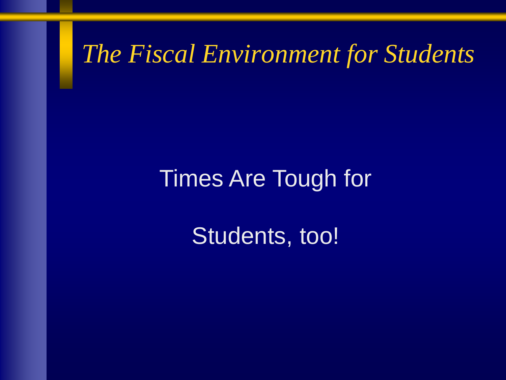*The Fiscal Environment for Students*

## Times Are Tough for

Students, too!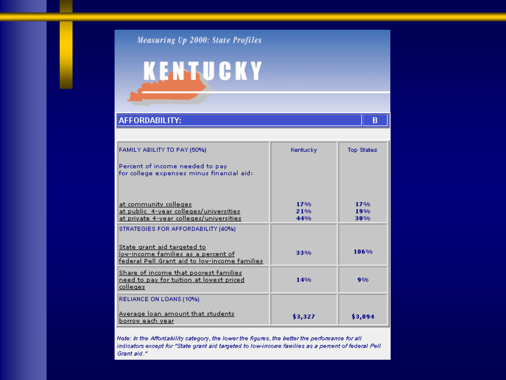#### Measuring Up 2000: State Profiles

# **KENTUCKY**

#### AFFORDABILITY:

| FAMILY ABILITY TO PAY (50%)                                                                                                | Kentucky          | Top States        |
|----------------------------------------------------------------------------------------------------------------------------|-------------------|-------------------|
| Percent of income needed to pay<br>for college expenses minus financial aid:                                               |                   |                   |
| at community colleges<br>at public 4-year colleges/universities<br>at private 4-year colleges/universities                 | 17%<br>21%<br>44% | 17%<br>19%<br>30% |
| STRATEGIES FOR AFFORDABILITY (40%)                                                                                         |                   |                   |
| State grant aid targeted to<br>low-income families as a percent of<br><u>federal Pell Grant aid to low-income families</u> | 33%               | 106%              |
| Share of income that poorest families<br>need to pay for tuition at lowest priced<br><u>colleges</u>                       | 14%               | 9%                |
| RELIANCE ON LOANS (10%)                                                                                                    |                   |                   |
| Average loan amount that students<br><u>borrow each year</u>                                                               | \$3,327           | \$3,094           |

Note: In the Affordability category, the lower the figures, the better the performance for all indicators except for "State grant aid targeted to low-income families as a percent of federal Pell Grant aid."

 $B$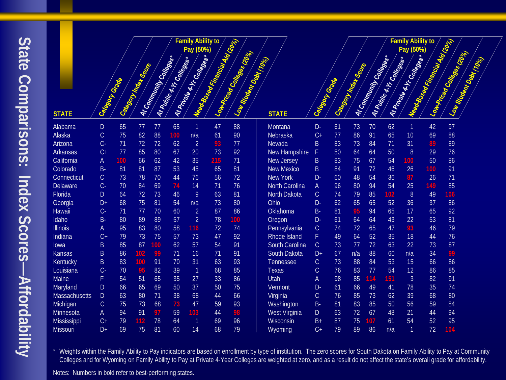State Comparisons: Index Scores-Affordability **State Comparisons: Index Scores—Affordability**

|                      |               |     |                        |                     |                                | <b>Family Ability to</b>                  | Need Seed Figures 110 2020 |                            |                       |                |    |                        |                     |                                | <b>Family Ability to</b>                  | Need Street Film Call 1976 |                            |                       |
|----------------------|---------------|-----|------------------------|---------------------|--------------------------------|-------------------------------------------|----------------------------|----------------------------|-----------------------|----------------|----|------------------------|---------------------|--------------------------------|-------------------------------------------|----------------------------|----------------------------|-----------------------|
|                      |               |     |                        |                     |                                | Pay (50%)<br>At Private 4.17 Construction |                            | Low-Prized Conteges (2006) |                       |                |    |                        |                     |                                | Pay (50%)<br>At Private 4.17 Construction |                            | Low-Prized Contages (2021) |                       |
|                      |               |     | Category Index Society | Artommunity Courses | <b>Al Public 4.17 Colleges</b> |                                           |                            | Low Stragging Stripe       |                       |                |    | Category Index Society | Artommunity Courses | <b>Al Public 4.17 Colleges</b> |                                           |                            |                            | Low Stragnt Day (102) |
|                      |               |     |                        |                     |                                |                                           |                            |                            |                       |                |    |                        |                     |                                |                                           |                            |                            |                       |
|                      |               |     |                        |                     |                                |                                           |                            |                            |                       |                |    |                        |                     |                                |                                           |                            |                            |                       |
|                      |               |     |                        |                     |                                |                                           |                            |                            |                       |                |    |                        |                     |                                |                                           |                            |                            |                       |
|                      |               |     |                        |                     |                                |                                           |                            |                            |                       |                |    |                        |                     |                                |                                           |                            |                            |                       |
| <b>STATE</b>         | Calegor Grade |     |                        |                     |                                |                                           |                            |                            | <b>STATE</b>          | Category Grade |    |                        |                     |                                |                                           |                            |                            |                       |
| Alabama              | ${\sf D}$     | 65  | 77                     | 77                  | 65                             | $\mathbf{1}$                              | 47                         | 88                         | Montana               | D-             | 61 | 73                     | 70                  | 62                             | $\mathbf{1}$                              | 42                         | 97                         |                       |
| Alaska               | $\mathsf C$   | 75  | 82                     | 88                  | 100                            | n/a                                       | 61                         | 90                         | Nebraska              | $C +$          | 77 | 86                     | 91                  | 65                             | 10                                        | 69                         | 88                         |                       |
| Arizona              | $C -$         | 71  | 72                     | 72                  | 62                             | $\overline{2}$                            | 93                         | 77                         | Nevada                | B              | 83 | 73                     | 84                  | 71                             | 31                                        | 89                         | 89                         |                       |
| <b>Arkansas</b>      | $C +$         | 77  | 85                     | 80                  | 67                             | 20                                        | 73                         | 92                         | New Hampshire         | F              | 50 | 64                     | 64                  | 50                             | 8                                         | 29                         | 76                         |                       |
| California           | A             | 100 | 66                     | 62                  | 42                             | 35                                        | 215                        | 71                         | New Jersey            | $\sf B$        | 83 | 75                     | 67                  | 54                             | 100                                       | 50                         | 86                         |                       |
| Colorado             | <b>B-</b>     | 81  | 81                     | 87                  | 53                             | 45                                        | 65                         | 81                         | <b>New Mexico</b>     | B              | 84 | 91                     | 72                  | 46                             | 26                                        | 100                        | 91                         |                       |
| Connecticut          | $\mathsf C$   | 73  | 78                     | 70                  | 44                             | 76                                        | 56                         | 72                         | <b>New York</b>       | D-             | 60 | 48                     | 54                  | 36                             | 87                                        | 26                         | 71                         |                       |
| Delaware             | $C -$         | 70  | 84                     | 69                  | 74                             | 14                                        | 71                         | 76                         | <b>North Carolina</b> | A              | 96 | 80                     | 94                  | 54                             | 25                                        | 149                        | 85                         |                       |
| Florida              | D             | 64  | 72                     | 73                  | 46                             | 9                                         | 63                         | 81                         | <b>North Dakota</b>   | $\mathsf C$    | 74 | 79                     | 85                  | 102                            | 8                                         | 49                         | 106                        |                       |
| Georgia              | D+            | 68  | 75                     | 81                  | 54                             | n/a                                       | 73                         | 80                         | Ohio                  | D-             | 62 | 65                     | 65                  | 52                             | 36                                        | 37                         | 86                         |                       |
| <b>Hawaii</b>        | $C -$         | 71  | 77                     | 70                  | 60                             | $\overline{2}$                            | 87                         | 86                         | Oklahoma              | $B -$          | 81 | 95                     | 94                  | 65                             | 17                                        | 65                         | 92                         |                       |
| Idaho                | <b>B-</b>     | 80  | 89                     | 89                  | 57                             | $\overline{2}$                            | 78                         | 100                        | Oregon                | D-             | 61 | 64                     | 64                  | 43                             | 22                                        | 53                         | 81                         |                       |
| <b>Illinois</b>      | A             | 95  | 83                     | 80                  | 58                             | 116                                       | 72                         | 74                         | Pennsylvania          | $\mathsf C$    | 74 | 72                     | 65                  | 47                             | 93                                        | 46                         | 79                         |                       |
| Indiana              | $C+$          | 79  | 73                     | 75                  | 57                             | 73                                        | 47                         | 92                         | Rhode Island          | F.             | 49 | 64                     | 52                  | 35                             | 18                                        | 44                         | 76                         |                       |
| lowa                 | $\sf B$       | 85  | 87                     | 100                 | 62                             | 57                                        | 54                         | 91                         | South Carolina        | $\mathsf C$    | 73 | 77                     | 72                  | 63                             | 22                                        | 73                         | 87                         |                       |
| <b>Kansas</b>        | $\sf B$       | 86  | 102                    | 99                  | 71                             | 16                                        | 71                         | 91                         | South Dakota          | $D+$           | 67 | n/a                    | 88                  | 60                             | n/a                                       | 34                         | 99                         |                       |
| Kentucky             | $\mathsf B$   | 83  | 100                    | 91                  | 70                             | 31                                        | 63                         | 93                         | Tennessee             | $\mathsf C$    | 73 | 88                     | 84                  | 53                             | 15                                        | 66                         | 86                         |                       |
| Louisiana            | $C -$         | 70  | 95                     | 82                  | 39                             | $\vert$ 1                                 | 68                         | 85                         | Texas                 | $\mathsf C$    | 76 | 83                     | 77                  | 54                             | 12                                        | 86                         | 85                         |                       |
| <b>Maine</b>         | F             | 54  | 51                     | 65                  | 35                             | 27                                        | 33                         | 86                         | <b>Utah</b>           | A              | 98 | 85                     | 114                 | 151                            | 3                                         | 82                         | 91                         |                       |
| Maryland             | $\mathsf{D}%$ | 66  | 65                     | 69                  | 50                             | 37                                        | 50                         | 75                         | Vermont               | D-             | 61 | 66                     | 49                  | 41                             | 78                                        | 35                         | 74                         |                       |
| <b>Massachusetts</b> | $\mathsf{D}$  | 63  | 80                     | 71                  | 38                             | 68                                        | 44                         | 66                         | Virginia              | $\mathsf C$    | 76 | 85                     | 73                  | 62                             | 39                                        | 68                         | 80                         |                       |
| Michigan             | $\mathsf C$   | 75  | 73                     | 68                  | 73                             | 47                                        | 59                         | 93                         | Washington            | <b>B-</b>      | 81 | 83                     | 85                  | 50                             | 56                                        | 59                         | 84                         |                       |
| Minnesota            | A             | 94  | 91                     | 97                  | 59                             | 103                                       | 44                         | 98                         | West Virginia         | D              | 63 | 72                     | 67                  | 48                             | 21                                        | 44                         | 94                         |                       |
| Mississippi          | $C+$          | 79  | 112                    | 78                  | 64                             | $\overline{1}$                            | 69                         | 96                         | Wisconsin             | $B+$           | 87 | 75                     | 107                 | 61                             | 54                                        | 52                         | 95                         |                       |
| <b>Missouri</b>      | D+            | 69  | 75                     | 81                  | 60                             | 14                                        | 68                         | 79                         | Wyoming               | $C+$           | 79 | 89                     | 86                  | n/a                            | $\mathbf{1}$                              | 72                         | 104                        |                       |

Weights within the Family Ability to Pay indicators are based on enrollment by type of institution. The zero scores for South Dakota on Family Ability to Pay at Community Colleges and for Wyoming on Family Ability to Pay at Private 4-Year Colleges are weighted at zero, and as a result do not affect the state's overall grade for affordability.

Notes: Numbers in bold refer to best-performing states.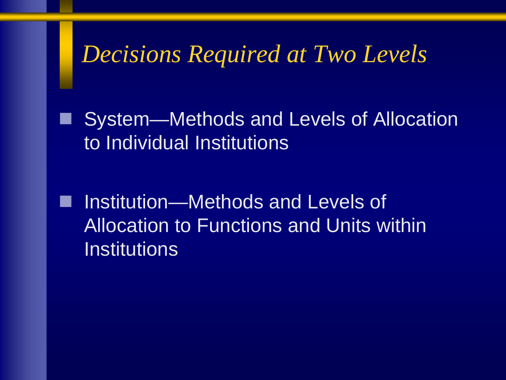## *Decisions Required at Two Levels*

 System—Methods and Levels of Allocation to Individual Institutions

 Institution—Methods and Levels of Allocation to Functions and Units within **Institutions**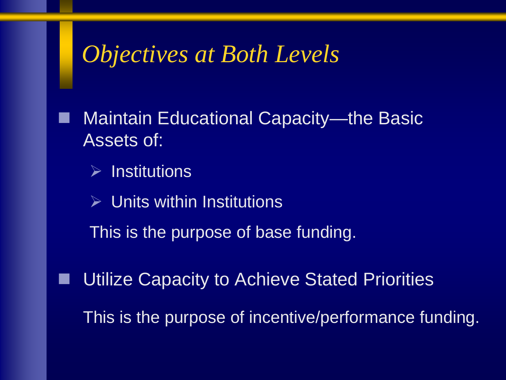## *Objectives at Both Levels*

 Maintain Educational Capacity—the Basic Assets of:

 $\triangleright$  Institutions

 $\triangleright$  Units within Institutions

This is the purpose of base funding.

Utilize Capacity to Achieve Stated Priorities

This is the purpose of incentive/performance funding.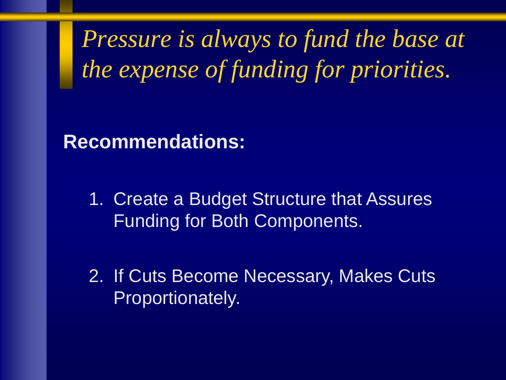*Pressure is always to fund the base at the expense of funding for priorities.*

**Recommendations:**

1. Create a Budget Structure that Assures Funding for Both Components.

2. If Cuts Become Necessary, Makes Cuts Proportionately.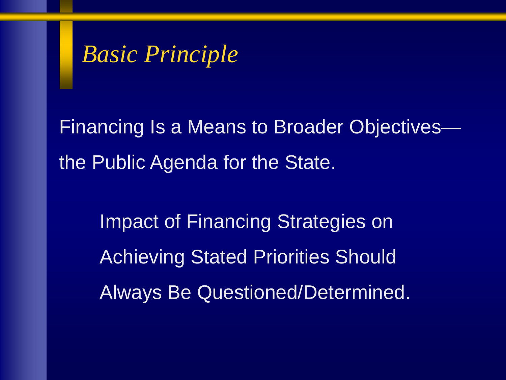## *Basic Principle*

Financing Is a Means to Broader Objectives the Public Agenda for the State.

Impact of Financing Strategies on Achieving Stated Priorities Should Always Be Questioned/Determined.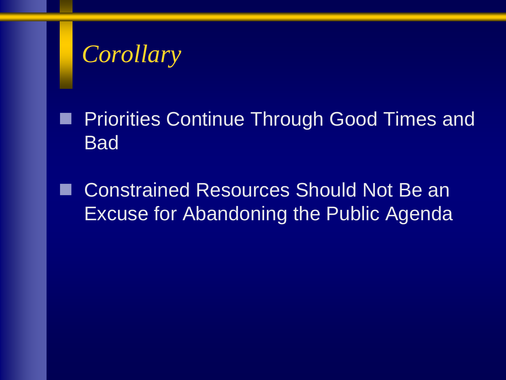# *Corollary*

 Priorities Continue Through Good Times and **Bad** 

 Constrained Resources Should Not Be an Excuse for Abandoning the Public Agenda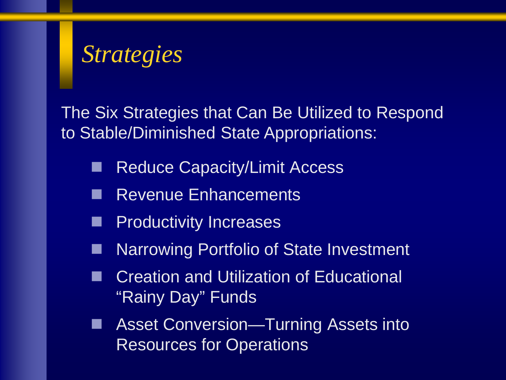# *Strategies*

The Six Strategies that Can Be Utilized to Respond to Stable/Diminished State Appropriations:

- Reduce Capacity/Limit Access
- Revenue Enhancements
- **Productivity Increases**
- Narrowing Portfolio of State Investment
- Creation and Utilization of Educational "Rainy Day" Funds
- Asset Conversion—Turning Assets into Resources for Operations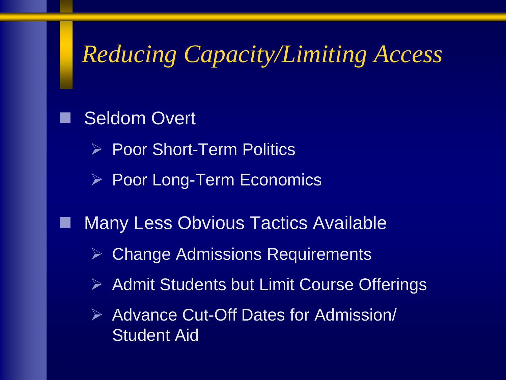# *Reducing Capacity/Limiting Access*

 Seldom Overt **▶ Poor Short-Term Politics**  $\triangleright$  Poor Long-Term Economics Many Less Obvious Tactics Available Change Admissions Requirements  $\triangleright$  Admit Students but Limit Course Offerings **▶ Advance Cut-Off Dates for Admission/ Student Aid**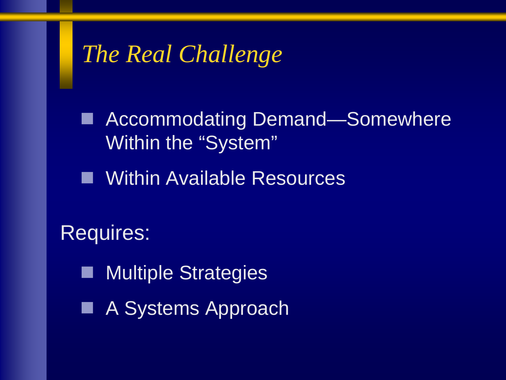# *The Real Challenge*

■ Accommodating Demand—Somewhere Within the "System"

**Nuthin Available Resources** 

Requires:

**Multiple Strategies** 

■ A Systems Approach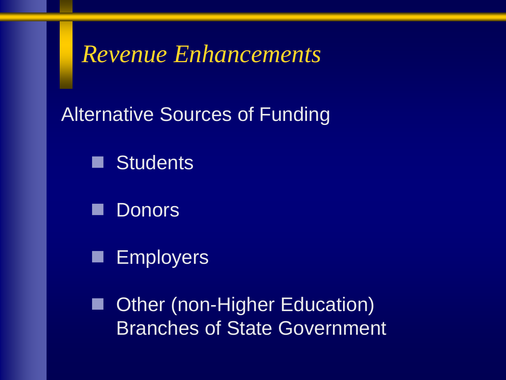#### *Revenue Enhancements*

Alternative Sources of Funding

**N** Students

**Donors** 

**Employers** 

■ Other (non-Higher Education) Branches of State Government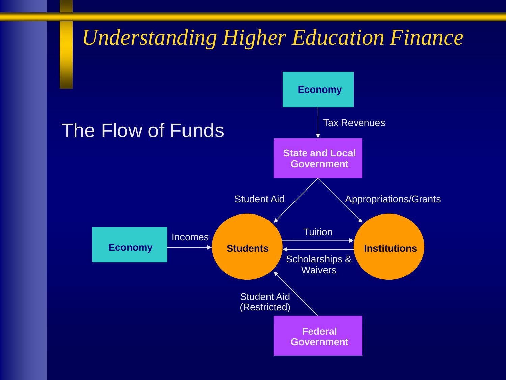#### *Understanding Higher Education Finance*

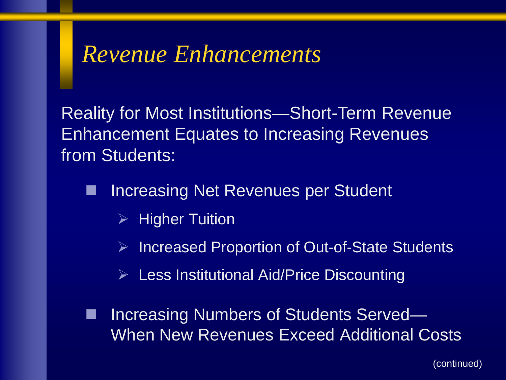#### *Revenue Enhancements*

Reality for Most Institutions—Short-Term Revenue Enhancement Equates to Increasing Revenues from Students:

- Increasing Net Revenues per Student
	- $\triangleright$  Higher Tuition
	- Increased Proportion of Out-of-State Students
	- $\triangleright$  Less Institutional Aid/Price Discounting

■ Increasing Numbers of Students Served— When New Revenues Exceed Additional Costs

(continued)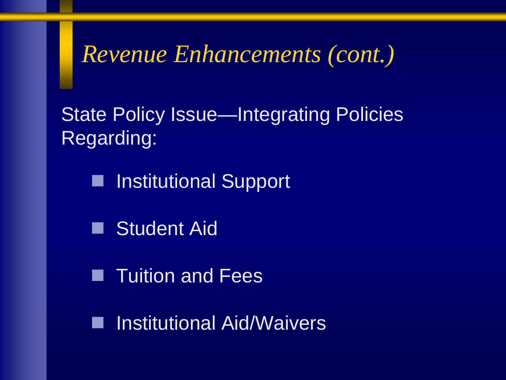### *Revenue Enhancements (cont.)*

State Policy Issue—Integrating Policies Regarding:

■ Institutional Support

**Student Aid** 

**Tuition and Fees** 

**I** Institutional Aid/Waivers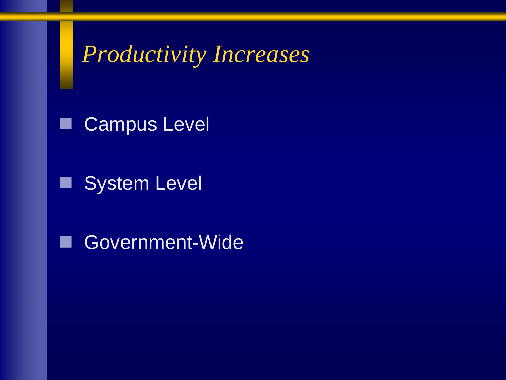### *Productivity Increases*

**Campus Level** 

System Level

Government-Wide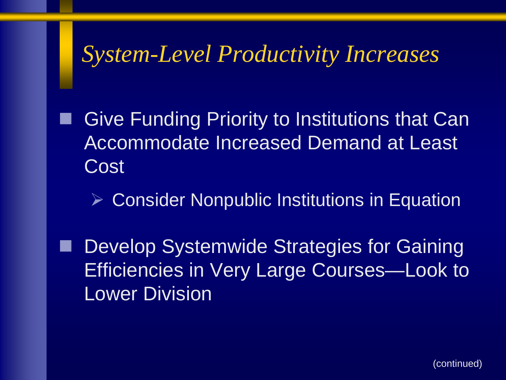#### *System-Level Productivity Increases*

 Give Funding Priority to Institutions that Can Accommodate Increased Demand at Least Cost

**▶ Consider Nonpublic Institutions in Equation** 

 Develop Systemwide Strategies for Gaining Efficiencies in Very Large Courses—Look to Lower Division

(continued)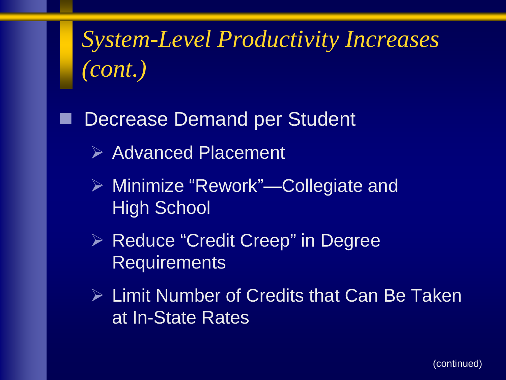*System-Level Productivity Increases (cont.)*

Decrease Demand per Student

- $\triangleright$  Advanced Placement
- Minimize "Rework"—Collegiate and High School
- **EXA Reduce "Credit Creep" in Degree Requirements**
- **▶ Limit Number of Credits that Can Be Taken** at In-State Rates

(continued)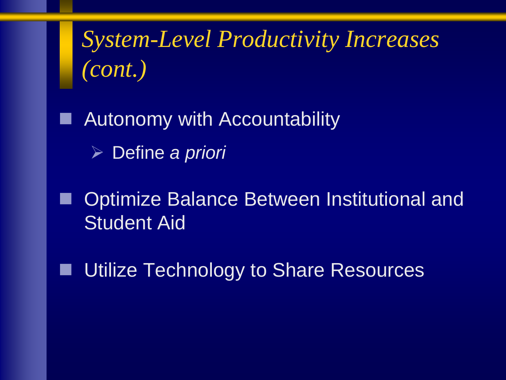*System-Level Productivity Increases (cont.)*

 Autonomy with Accountability Define *a priori*

 Optimize Balance Between Institutional and Student Aid

Utilize Technology to Share Resources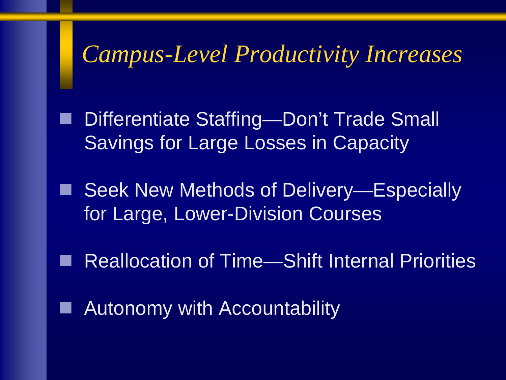### *Campus-Level Productivity Increases*

 Differentiate Staffing—Don't Trade Small Savings for Large Losses in Capacity

 Seek New Methods of Delivery—Especially for Large, Lower-Division Courses

Reallocation of Time—Shift Internal Priorities

Autonomy with Accountability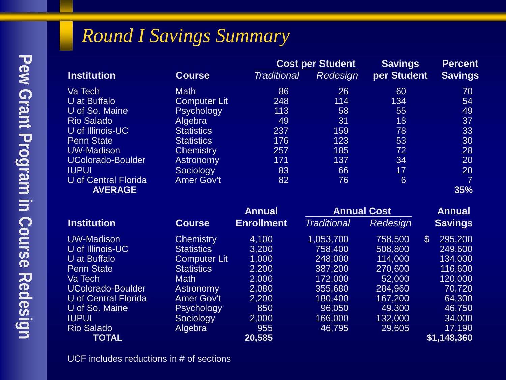#### *Round I Savings Summary*

|                             |                     |                    | <b>Cost per Student</b> | <b>Savings</b>            | <b>Percent</b> |  |
|-----------------------------|---------------------|--------------------|-------------------------|---------------------------|----------------|--|
| <b>Institution</b>          | <b>Course</b>       | <b>Traditional</b> | Redesign                | per Student               | <b>Savings</b> |  |
| Va Tech                     | <b>Math</b>         | 86                 | 26                      | 60                        | 70             |  |
| U at Buffalo                | <b>Computer Lit</b> | 248                | 114                     | 134                       | 54             |  |
| U of So. Maine              | <b>Psychology</b>   | 113                | 58                      | 55                        | 49             |  |
| <b>Rio Salado</b>           | Algebra             | 49                 | 31                      | 18                        | 37             |  |
| U of Illinois-UC            | <b>Statistics</b>   | 237                | 159                     | 78                        | 33             |  |
| <b>Penn State</b>           | <b>Statistics</b>   | 176                | 123                     | 53                        | 30             |  |
| <b>UW-Madison</b>           | <b>Chemistry</b>    | 257                | 185                     | 72                        | 28             |  |
| <b>UColorado-Boulder</b>    | Astronomy           | 171                | 137                     | 34                        | 20             |  |
| <b>IUPUI</b>                | Sociology           | 83                 | 66                      | 17                        | 20             |  |
| <b>U</b> of Central Florida | <b>Amer Gov't</b>   | 82                 | 76                      | $6\phantom{1}$            | $\overline{7}$ |  |
| <b>AVERAGE</b>              |                     |                    |                         |                           | 35%            |  |
|                             |                     | <b>Annual</b>      | <b>Annual Cost</b>      |                           | <b>Annual</b>  |  |
| <b>Institution</b>          | <b>Course</b>       | <b>Enrollment</b>  | <b>Traditional</b>      | Redesign                  | <b>Savings</b> |  |
| <b>UW-Madison</b>           | <b>Chemistry</b>    | 4,100              | 1,053,700               | $\mathfrak{L}$<br>758,500 | 295,200        |  |
| U of Illinois-UC            | <b>Statistics</b>   | 3,200              | 758,400                 | 508,800                   | 249,600        |  |
| U at Buffalo                | <b>Computer Lit</b> | 1,000              | 248,000                 | 114,000                   | 134,000        |  |
| <b>Penn State</b>           | <b>Statistics</b>   | 2,200              | 387,200                 | 270,600                   | 116,600        |  |
| Va Tech                     | <b>Math</b>         | 2,000              | 172,000                 | 52,000                    | 120,000        |  |
| <b>UColorado-Boulder</b>    | <b>Astronomy</b>    | 2,080              | 355,680                 | 284,960                   | 70,720         |  |
| <b>U</b> of Central Florida | <b>Amer Gov't</b>   | 2,200              | 180,400                 | 167,200                   | 64,300         |  |
| U of So. Maine              | Psychology          | 850                | 96,050                  | 49,300                    | 46,750         |  |

U of So. Maine Psychology 850 96,050 49,300 46,750 IUPUI Sociology 2,000 166,000 132,000 34,000 Rio Salado Algebra 955 46,795 29,605 17,190  **TOTAL 20,585 \$1,148,360**

UCF includes reductions in # of sections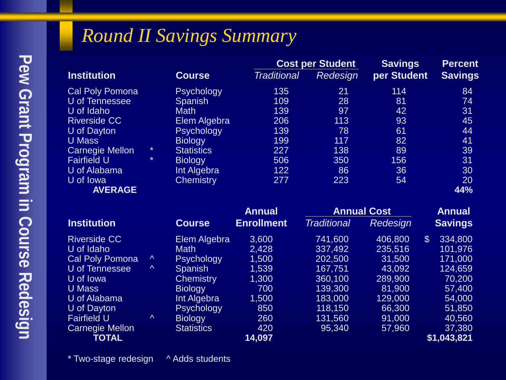#### *Round II Savings Summary*

|                        |               |                   |                    | <b>Cost per Student</b> | <b>Savings</b> | <b>Percent</b> |  |
|------------------------|---------------|-------------------|--------------------|-------------------------|----------------|----------------|--|
| <b>Institution</b>     | <b>Course</b> |                   | <b>Traditional</b> | <b>Redesign</b>         | per Student    | <b>Savings</b> |  |
| <b>Cal Poly Pomona</b> |               | <b>Psychology</b> | 135                | 21                      | 114            | 84             |  |
| U of Tennessee         |               | <b>Spanish</b>    | 109                | 28                      | 81             | 74             |  |
| U of Idaho             |               | <b>Math</b>       | 139                | 97                      | 42             | 31             |  |
| <b>Riverside CC</b>    |               | Elem Algebra      | 206                | 113                     | 93             | 45             |  |
| U of Dayton            |               | <b>Psychology</b> | 139                | 78                      | 61             | 44             |  |
| <b>U</b> Mass          |               | <b>Biology</b>    | 199                | 117                     | 82             | 41             |  |
| <b>Carnegie Mellon</b> | $\star$       | <b>Statistics</b> | 227                | 138                     | 89             | 39             |  |
| <b>Fairfield U</b>     | $\star$       | <b>Biology</b>    | 506                | 350                     | 156            | 31             |  |
| U of Alabama           |               | Int Algebra       | 122                | 86                      | 36             | 30             |  |
| U of Iowa              |               | <b>Chemistry</b>  | 277                | 223                     | 54             | 20             |  |
| <b>AVERAGE</b>         |               |                   |                    |                         |                | 44%            |  |

|                        |               |                   | <b>Annual</b>     | <b>Annual Cost</b> |          | <b>Annual</b><br><b>Savings</b>      |  |
|------------------------|---------------|-------------------|-------------------|--------------------|----------|--------------------------------------|--|
| <b>Institution</b>     | <b>Course</b> |                   | <b>Enrollment</b> | <b>Traditional</b> | Redesign |                                      |  |
| <b>Riverside CC</b>    |               | Elem Algebra      | 3,600             | 741,600            | 406,800  | 334,800<br>$\boldsymbol{\mathsf{S}}$ |  |
| U of Idaho             |               | <b>Math</b>       | 2,428             | 337,492            | 235,516  | 101,976                              |  |
| <b>Cal Poly Pomona</b> | Λ             | <b>Psychology</b> | 1,500             | 202,500            | 31,500   | 171,000                              |  |
| U of Tennessee         | $\Lambda$     | Spanish           | 1,539             | 167,751            | 43,092   | 124,659                              |  |
| U of Iowa              |               | <b>Chemistry</b>  | 1,300             | 360,100            | 289,900  | 70,200                               |  |
| U Mass                 |               | <b>Biology</b>    | 700               | 139,300            | 81,900   | 57,400                               |  |
| U of Alabama           |               | Int Algebra       | 1,500             | 183,000            | 129,000  | 54,000                               |  |
| U of Dayton            |               | Psychology        | 850               | 118,150            | 66,300   | 51,850                               |  |
| <b>Fairfield U</b>     | $\Lambda$     | <b>Biology</b>    | 260               | 131,560            | 91,000   | 40,560                               |  |
| Carnegie Mellon        |               | <b>Statistics</b> | 420               | 95,340             | 57,960   | 37,380                               |  |
| <b>TOTAL</b>           |               |                   | 14,097            |                    |          | \$1,043,821                          |  |

\* Two-stage redesign ^ Adds students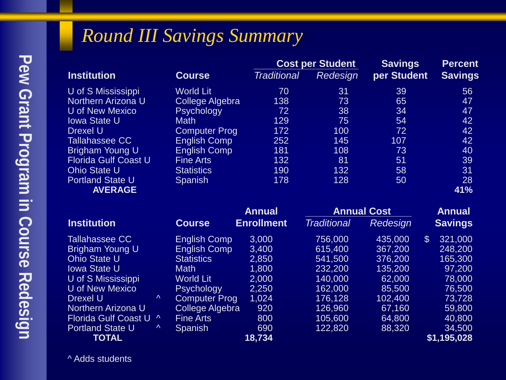#### *Round III Savings Summary*

|                             |                        |                    | <b>Cost per Student</b> |                           | <b>Percent</b> |  |
|-----------------------------|------------------------|--------------------|-------------------------|---------------------------|----------------|--|
| <b>Institution</b>          | <b>Course</b>          | <b>Traditional</b> | Redesign                | per Student               | <b>Savings</b> |  |
| U of S Mississippi          | World Lit              | 70                 | 31                      | 39                        | 56             |  |
| Northern Arizona U          | <b>College Algebra</b> | 138                | 73                      | 65                        | 47             |  |
| U of New Mexico             | <b>Psychology</b>      | 72                 | 38                      | 34                        | 47             |  |
| <b>Iowa State U</b>         | <b>Math</b>            | 129                | 75                      | 54                        | 42             |  |
| <b>Drexel U</b>             | <b>Computer Prog</b>   | 172                | 100                     | 72                        | 42             |  |
| Tallahassee CC              | <b>English Comp</b>    | 252                | 145                     | 107                       | 42             |  |
| Brigham Young U             | <b>English Comp</b>    | 181                | 108                     | 73                        | 40             |  |
| <b>Florida Gulf Coast U</b> | <b>Fine Arts</b>       | 132                | 81                      | 51                        | 39             |  |
| <b>Ohio State U</b>         | <b>Statistics</b>      | 190                | 132                     | 58                        | 31             |  |
| <b>Portland State U</b>     | <b>Spanish</b>         | 178                | 128                     | 50                        | 28             |  |
| <b>AVERAGE</b>              |                        |                    |                         |                           | 41%            |  |
|                             |                        | <b>Annual</b>      |                         | <b>Annual Cost</b>        | <b>Annual</b>  |  |
| <b>Institution</b>          | <b>Course</b>          | <b>Enrollment</b>  | <b>Traditional</b>      | <b>Redesign</b>           | <b>Savings</b> |  |
| Tallahassee CC              | <b>English Comp</b>    | 3,000              | 756,000                 | 435,000<br>$\mathfrak{L}$ | 321,000        |  |
| Brigham Young U             | <b>English Comp</b>    | 3,400              | 615,400                 | 367,200                   | 248,200        |  |
| <b>Ohio State U</b>         | <b>Statistics</b>      | 2,850              | 541,500                 | 376,200                   | 165,300        |  |
| <b>Iowa State U</b>         | <b>Math</b>            | 1,800              | 232,200                 | 135,200                   | 97,200         |  |
| U of S Mississippi          | <b>World Lit</b>       | 2,000              | 140,000                 | 62,000                    | 78,000         |  |
| U of New Mexico             | Psychology             | 2,250              | 162,000                 | 85,500                    | 76,500         |  |

 **TOTAL 18,734 \$1,195,028**

Drexel U ^ Computer Prog 1,024 176,128 102,400 73,728 Northern Arizona U College Algebra 920 126,960 67,160 59,800 Florida Gulf Coast U ^ Fine Arts 800 105,600 64,800 40,800 Portland State U  $\sim$  Spanish 690<br>18,734 18,734

^ Adds students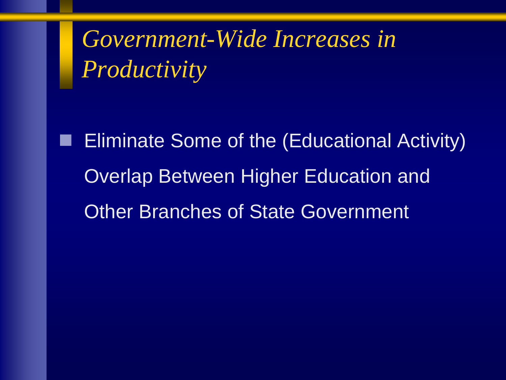*Government-Wide Increases in Productivity*

 Eliminate Some of the (Educational Activity) Overlap Between Higher Education and Other Branches of State Government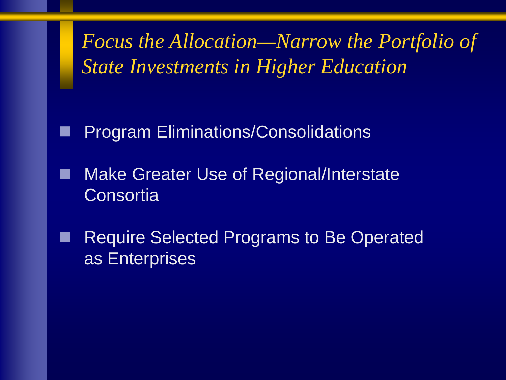*Focus the Allocation—Narrow the Portfolio of State Investments in Higher Education*

Program Eliminations/Consolidations

- Make Greater Use of Regional/Interstate **Consortia**
- Require Selected Programs to Be Operated as Enterprises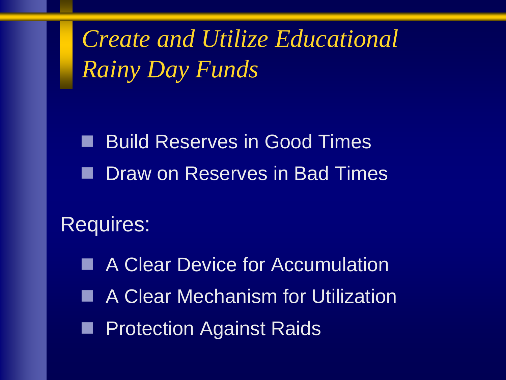*Create and Utilize Educational Rainy Day Funds*

■ Build Reserves in Good Times **Draw on Reserves in Bad Times** 

Requires:

■ A Clear Device for Accumulation ■ A Clear Mechanism for Utilization **Protection Against Raids**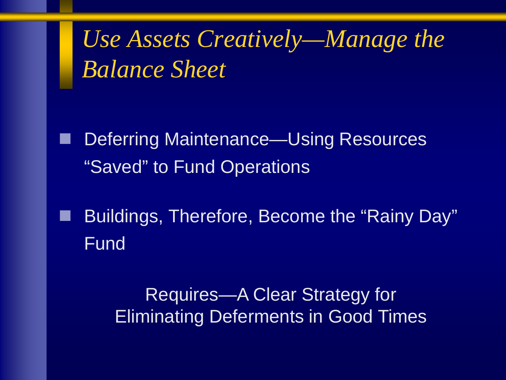*Use Assets Creatively—Manage the Balance Sheet*

 Deferring Maintenance—Using Resources "Saved" to Fund Operations

 Buildings, Therefore, Become the "Rainy Day" Fund

> Requires—A Clear Strategy for Eliminating Deferments in Good Times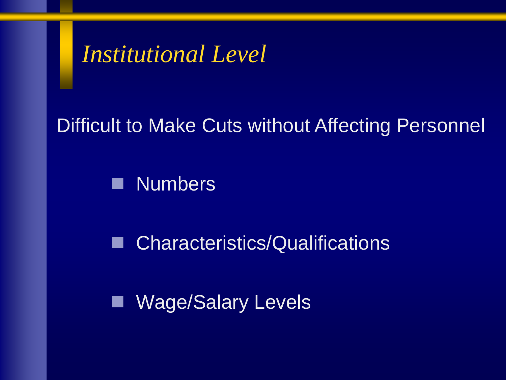## *Institutional Level*

#### Difficult to Make Cuts without Affecting Personnel

**Numbers** 

■ Characteristics/Qualifications

**Nage/Salary Levels**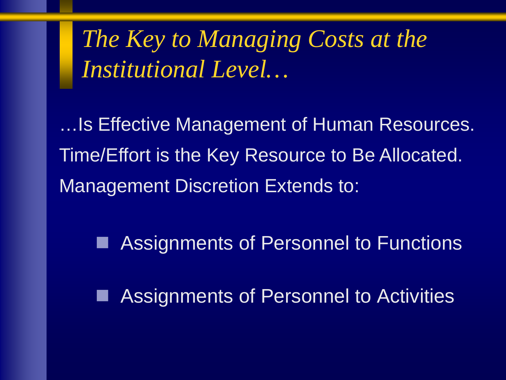*The Key to Managing Costs at the Institutional Level…*

…Is Effective Management of Human Resources. Time/Effort is the Key Resource to Be Allocated. Management Discretion Extends to:

Assignments of Personnel to Functions

Assignments of Personnel to Activities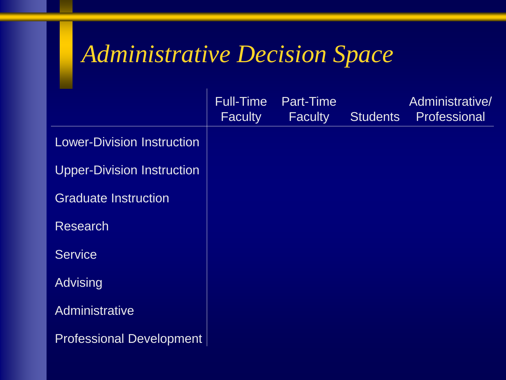## *Administrative Decision Space*

|                                   | Full-Time<br><b>Faculty</b> | Part-Time<br><b>Faculty</b> | <b>Students</b> | Administrative/<br>Professional |
|-----------------------------------|-----------------------------|-----------------------------|-----------------|---------------------------------|
| <b>Lower-Division Instruction</b> |                             |                             |                 |                                 |
| <b>Upper-Division Instruction</b> |                             |                             |                 |                                 |
| <b>Graduate Instruction</b>       |                             |                             |                 |                                 |
| <b>Research</b>                   |                             |                             |                 |                                 |
| <b>Service</b>                    |                             |                             |                 |                                 |
| <b>Advising</b>                   |                             |                             |                 |                                 |
| Administrative                    |                             |                             |                 |                                 |
| <b>Professional Development</b>   |                             |                             |                 |                                 |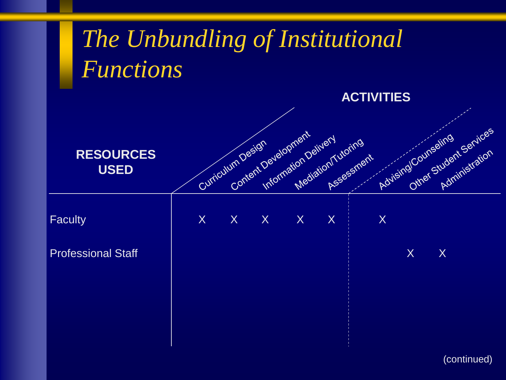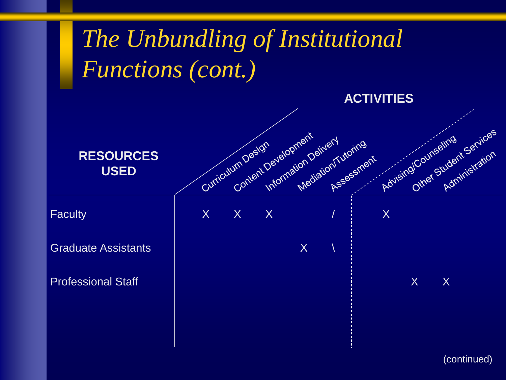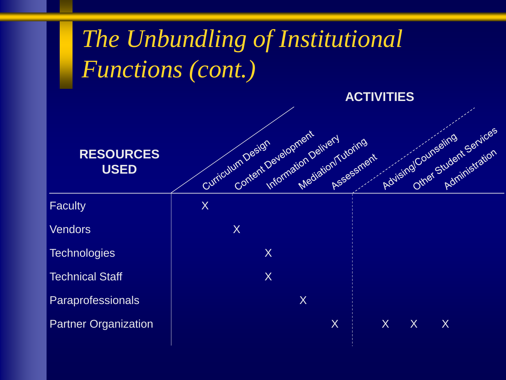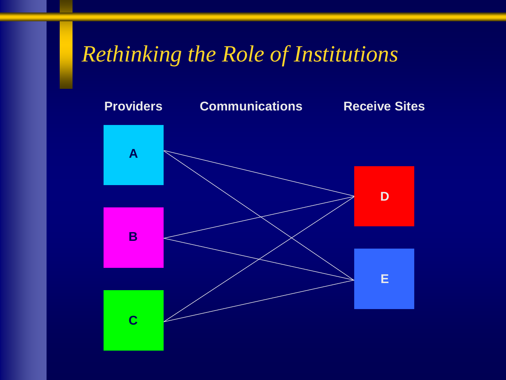### *Rethinking the Role of Institutions*

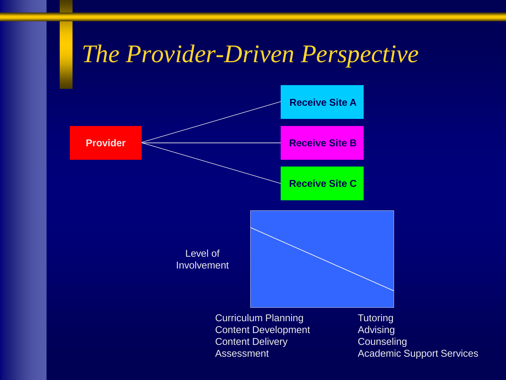## *The Provider-Driven Perspective*

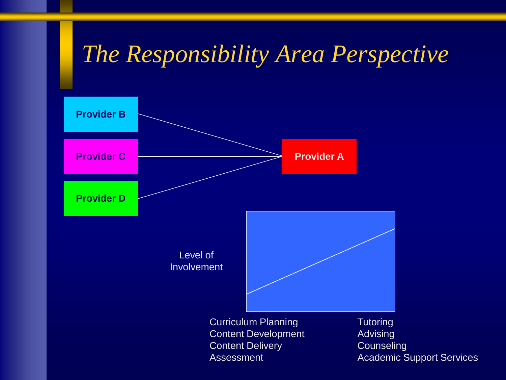## *The Responsibility Area Perspective*

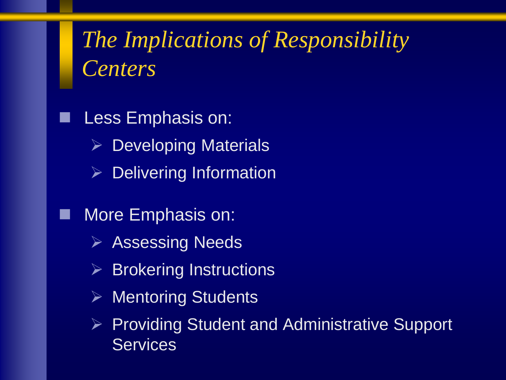# *The Implications of Responsibility Centers*

 Less Emphasis on:  $\triangleright$  Developing Materials  $\triangleright$  Delivering Information More Emphasis on:  $\triangleright$  Assessing Needs  $\triangleright$  Brokering Instructions **▶ Mentoring Students** 

 $\triangleright$  Providing Student and Administrative Support **Services**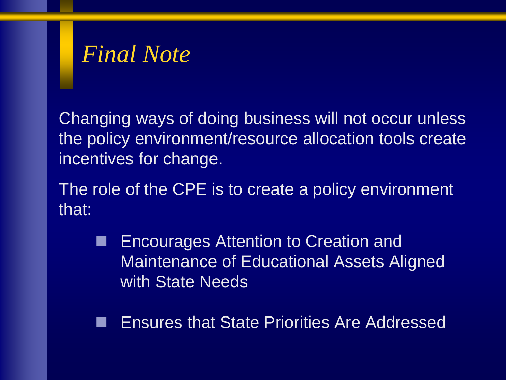## *Final Note*

Changing ways of doing business will not occur unless the policy environment/resource allocation tools create incentives for change.

The role of the CPE is to create a policy environment that:

**Encourages Attention to Creation and** Maintenance of Educational Assets Aligned with State Needs

Ensures that State Priorities Are Addressed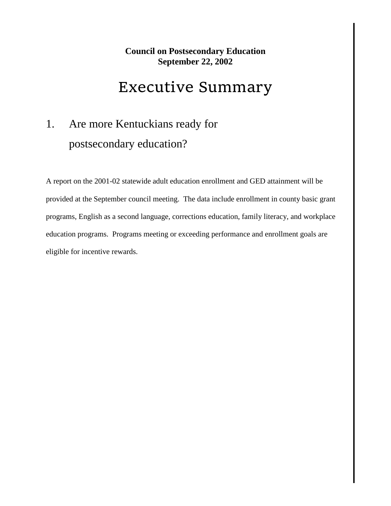#### **Council on Postsecondary Education September 22, 2002**

#### Executive Summary

#### 1. Are more Kentuckians ready for postsecondary education?

A report on the 2001-02 statewide adult education enrollment and GED attainment will be provided at the September council meeting. The data include enrollment in county basic grant programs, English as a second language, corrections education, family literacy, and workplace education programs. Programs meeting or exceeding performance and enrollment goals are eligible for incentive rewards.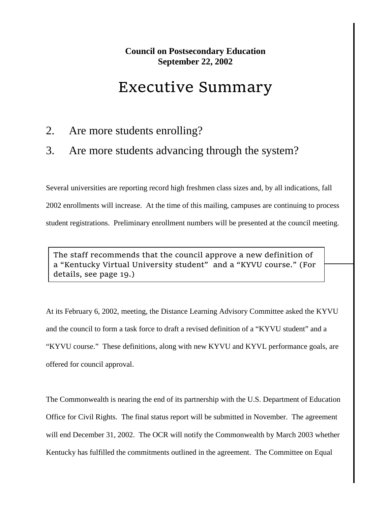#### **Council on Postsecondary Education September 22, 2002**

#### Executive Summary

#### 2. Are more students enrolling?

#### 3. Are more students advancing through the system?

Several universities are reporting record high freshmen class sizes and, by all indications, fall 2002 enrollments will increase. At the time of this mailing, campuses are continuing to process student registrations. Preliminary enrollment numbers will be presented at the council meeting.

The staff recommends that the council approve a new definition of a "Kentucky Virtual University student" and a "KYVU course." (For details, see page 19.)

At its February 6, 2002, meeting, the Distance Learning Advisory Committee asked the KYVU and the council to form a task force to draft a revised definition of a "KYVU student" and a "KYVU course." These definitions, along with new KYVU and KYVL performance goals, are offered for council approval.

The Commonwealth is nearing the end of its partnership with the U.S. Department of Education Office for Civil Rights. The final status report will be submitted in November. The agreement will end December 31, 2002. The OCR will notify the Commonwealth by March 2003 whether Kentucky has fulfilled the commitments outlined in the agreement. The Committee on Equal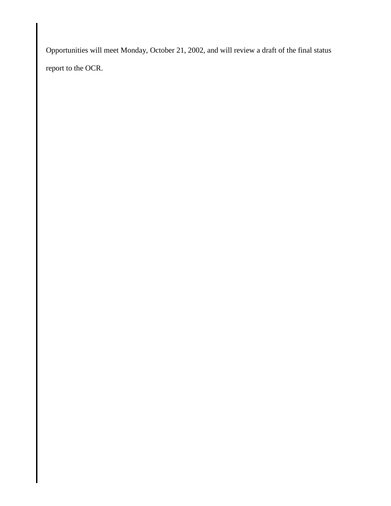Opportunities will meet Monday, October 21, 2002, and will review a draft of the final status report to the OCR.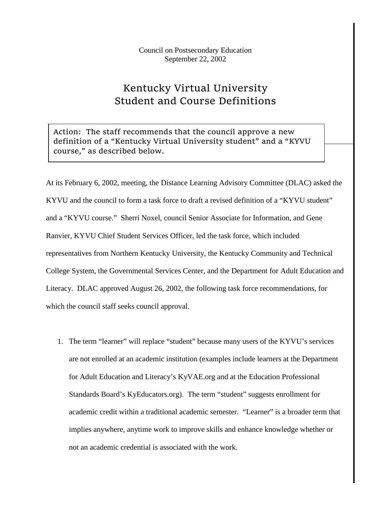Council on Postsecondary Education September 22, 2002

#### Kentucky Virtual University Student and Course Definitions

Action: The staff recommends that the council approve a new definition of a "Kentucky Virtual University student" and a "KYVU course," as described below.

At its February 6, 2002, meeting, the Distance Learning Advisory Committee (DLAC) asked the KYVU and the council to form a task force to draft a revised definition of a "KYVU student" and a "KYVU course." Sherri Noxel, council Senior Associate for Information, and Gene Ranvier, KYVU Chief Student Services Officer, led the task force, which included representatives from Northern Kentucky University, the Kentucky Community and Technical College System, the Governmental Services Center, and the Department for Adult Education and Literacy. DLAC approved August 26, 2002, the following task force recommendations, for which the council staff seeks council approval.

1. The term "learner" will replace "student" because many users of the KYVU's services are not enrolled at an academic institution (examples include learners at the Department for Adult Education and Literacy's KyVAE.org and at the Education Professional Standards Board's KyEducators.org). The term "student" suggests enrollment for academic credit within a traditional academic semester. "Learner" is a broader term that implies anywhere, anytime work to improve skills and enhance knowledge whether or not an academic credential is associated with the work.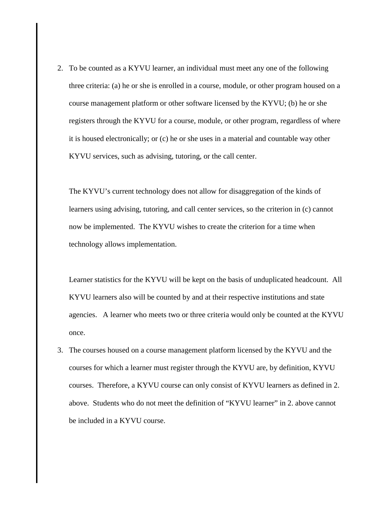2. To be counted as a KYVU learner, an individual must meet any one of the following three criteria: (a) he or she is enrolled in a course, module, or other program housed on a course management platform or other software licensed by the KYVU; (b) he or she registers through the KYVU for a course, module, or other program, regardless of where it is housed electronically; or (c) he or she uses in a material and countable way other KYVU services, such as advising, tutoring, or the call center.

The KYVU's current technology does not allow for disaggregation of the kinds of learners using advising, tutoring, and call center services, so the criterion in (c) cannot now be implemented. The KYVU wishes to create the criterion for a time when technology allows implementation.

Learner statistics for the KYVU will be kept on the basis of unduplicated headcount. All KYVU learners also will be counted by and at their respective institutions and state agencies. A learner who meets two or three criteria would only be counted at the KYVU once.

3. The courses housed on a course management platform licensed by the KYVU and the courses for which a learner must register through the KYVU are, by definition, KYVU courses. Therefore, a KYVU course can only consist of KYVU learners as defined in 2. above. Students who do not meet the definition of "KYVU learner" in 2. above cannot be included in a KYVU course.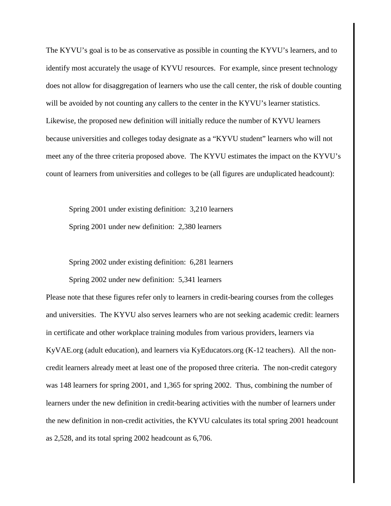The KYVU's goal is to be as conservative as possible in counting the KYVU's learners, and to identify most accurately the usage of KYVU resources. For example, since present technology does not allow for disaggregation of learners who use the call center, the risk of double counting will be avoided by not counting any callers to the center in the KYVU's learner statistics. Likewise, the proposed new definition will initially reduce the number of KYVU learners because universities and colleges today designate as a "KYVU student" learners who will not meet any of the three criteria proposed above. The KYVU estimates the impact on the KYVU's count of learners from universities and colleges to be (all figures are unduplicated headcount):

Spring 2001 under existing definition: 3,210 learners Spring 2001 under new definition: 2,380 learners

Spring 2002 under existing definition: 6,281 learners

Spring 2002 under new definition: 5,341 learners

Please note that these figures refer only to learners in credit-bearing courses from the colleges and universities. The KYVU also serves learners who are not seeking academic credit: learners in certificate and other workplace training modules from various providers, learners via KyVAE.org (adult education), and learners via KyEducators.org (K-12 teachers). All the noncredit learners already meet at least one of the proposed three criteria. The non-credit category was 148 learners for spring 2001, and 1,365 for spring 2002. Thus, combining the number of learners under the new definition in credit-bearing activities with the number of learners under the new definition in non-credit activities, the KYVU calculates its total spring 2001 headcount as 2,528, and its total spring 2002 headcount as 6,706.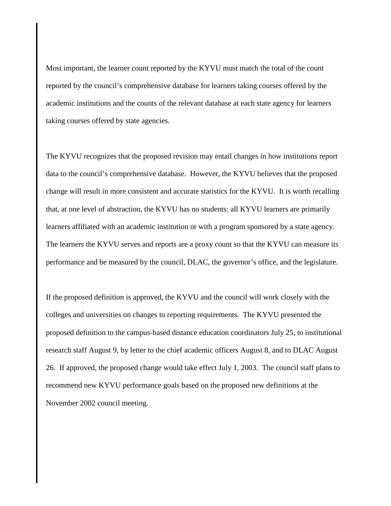Most important, the learner count reported by the KYVU must match the total of the count reported by the council's comprehensive database for learners taking courses offered by the academic institutions and the counts of the relevant database at each state agency for learners taking courses offered by state agencies.

The KYVU recognizes that the proposed revision may entail changes in how institutions report data to the council's comprehensive database. However, the KYVU believes that the proposed change will result in more consistent and accurate statistics for the KYVU. It is worth recalling that, at one level of abstraction, the KYVU has no students: all KYVU learners are primarily learners affiliated with an academic institution or with a program sponsored by a state agency. The learners the KYVU serves and reports are a proxy count so that the KYVU can measure its performance and be measured by the council, DLAC, the governor's office, and the legislature.

If the proposed definition is approved, the KYVU and the council will work closely with the colleges and universities on changes to reporting requirements. The KYVU presented the proposed definition to the campus-based distance education coordinators July 25, to institutional research staff August 9, by letter to the chief academic officers August 8, and to DLAC August 26. If approved, the proposed change would take effect July 1, 2003. The council staff plans to recommend new KYVU performance goals based on the proposed new definitions at the November 2002 council meeting.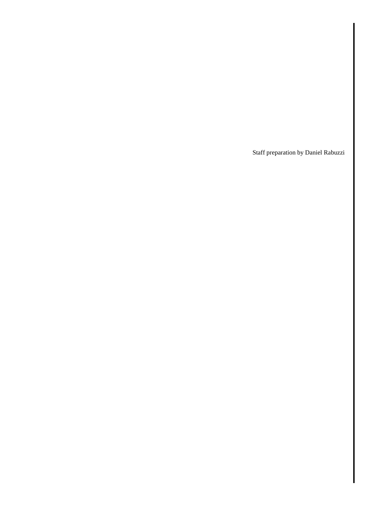Staff preparation by Daniel Rabuzzi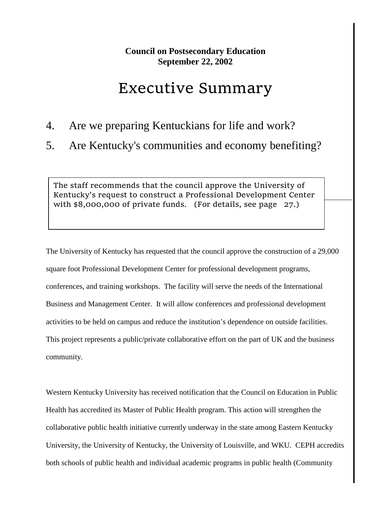## Executive Summary

- 4. Are we preparing Kentuckians for life and work?
- 5. Are Kentucky's communities and economy benefiting?

The staff recommends that the council approve the University of Kentucky's request to construct a Professional Development Center with \$8,000,000 of private funds. (For details, see page 27.)

The University of Kentucky has requested that the council approve the construction of a 29,000 square foot Professional Development Center for professional development programs, conferences, and training workshops. The facility will serve the needs of the International Business and Management Center. It will allow conferences and professional development activities to be held on campus and reduce the institution's dependence on outside facilities. This project represents a public/private collaborative effort on the part of UK and the business community.

Western Kentucky University has received notification that the Council on Education in Public Health has accredited its Master of Public Health program. This action will strengthen the collaborative public health initiative currently underway in the state among Eastern Kentucky University, the University of Kentucky, the University of Louisville, and WKU. CEPH accredits both schools of public health and individual academic programs in public health (Community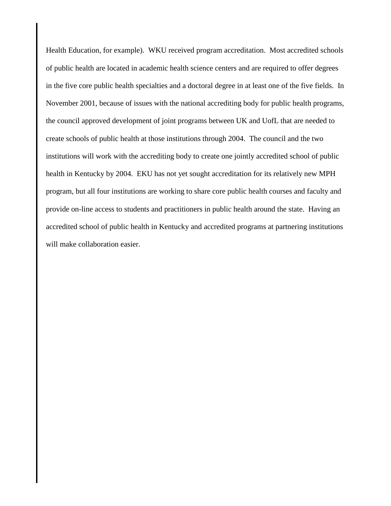Health Education, for example). WKU received program accreditation. Most accredited schools of public health are located in academic health science centers and are required to offer degrees in the five core public health specialties and a doctoral degree in at least one of the five fields. In November 2001, because of issues with the national accrediting body for public health programs, the council approved development of joint programs between UK and UofL that are needed to create schools of public health at those institutions through 2004. The council and the two institutions will work with the accrediting body to create one jointly accredited school of public health in Kentucky by 2004. EKU has not yet sought accreditation for its relatively new MPH program, but all four institutions are working to share core public health courses and faculty and provide on-line access to students and practitioners in public health around the state. Having an accredited school of public health in Kentucky and accredited programs at partnering institutions will make collaboration easier.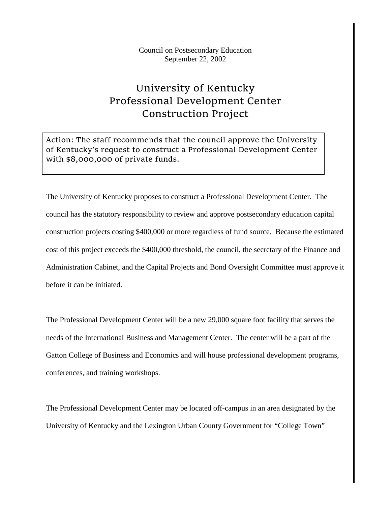## University of Kentucky Professional Development Center Construction Project

Action: The staff recommends that the council approve the University of Kentucky's request to construct a Professional Development Center with \$8,000,000 of private funds.

The University of Kentucky proposes to construct a Professional Development Center. The council has the statutory responsibility to review and approve postsecondary education capital construction projects costing \$400,000 or more regardless of fund source. Because the estimated cost of this project exceeds the \$400,000 threshold, the council, the secretary of the Finance and Administration Cabinet, and the Capital Projects and Bond Oversight Committee must approve it before it can be initiated.

The Professional Development Center will be a new 29,000 square foot facility that serves the needs of the International Business and Management Center. The center will be a part of the Gatton College of Business and Economics and will house professional development programs, conferences, and training workshops.

The Professional Development Center may be located off-campus in an area designated by the University of Kentucky and the Lexington Urban County Government for "College Town"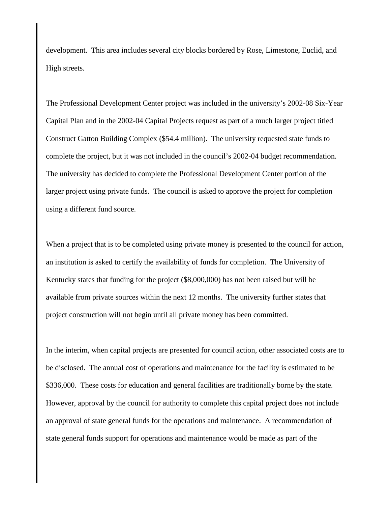development. This area includes several city blocks bordered by Rose, Limestone, Euclid, and High streets.

The Professional Development Center project was included in the university's 2002-08 Six-Year Capital Plan and in the 2002-04 Capital Projects request as part of a much larger project titled Construct Gatton Building Complex (\$54.4 million). The university requested state funds to complete the project, but it was not included in the council's 2002-04 budget recommendation. The university has decided to complete the Professional Development Center portion of the larger project using private funds. The council is asked to approve the project for completion using a different fund source.

When a project that is to be completed using private money is presented to the council for action, an institution is asked to certify the availability of funds for completion. The University of Kentucky states that funding for the project (\$8,000,000) has not been raised but will be available from private sources within the next 12 months. The university further states that project construction will not begin until all private money has been committed.

In the interim, when capital projects are presented for council action, other associated costs are to be disclosed. The annual cost of operations and maintenance for the facility is estimated to be \$336,000. These costs for education and general facilities are traditionally borne by the state. However, approval by the council for authority to complete this capital project does not include an approval of state general funds for the operations and maintenance. A recommendation of state general funds support for operations and maintenance would be made as part of the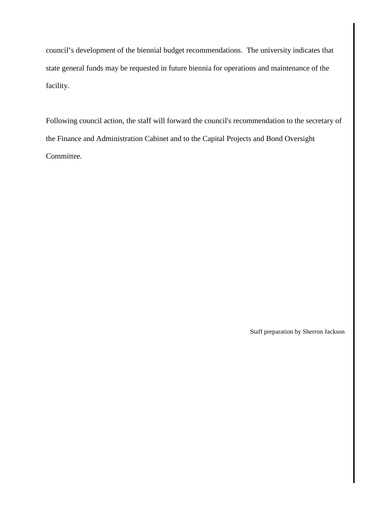council's development of the biennial budget recommendations. The university indicates that state general funds may be requested in future biennia for operations and maintenance of the facility.

Following council action, the staff will forward the council's recommendation to the secretary of the Finance and Administration Cabinet and to the Capital Projects and Bond Oversight Committee.

Staff preparation by Sherron Jackson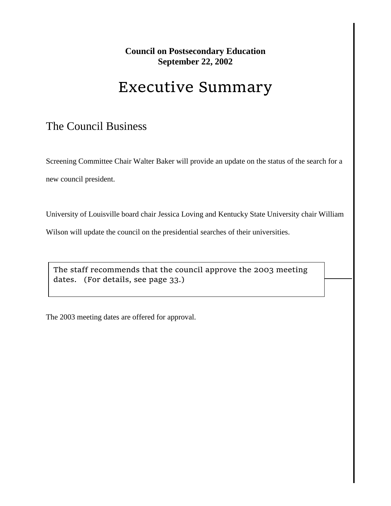# Executive Summary

## The Council Business

Screening Committee Chair Walter Baker will provide an update on the status of the search for a new council president.

University of Louisville board chair Jessica Loving and Kentucky State University chair William

Wilson will update the council on the presidential searches of their universities.

The staff recommends that the council approve the 2003 meeting dates. (For details, see page 33.)

The 2003 meeting dates are offered for approval.